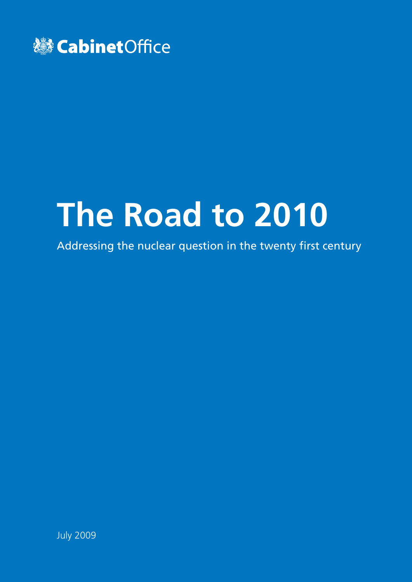

# **The Road to 2010**

Addressing the nuclear question in the twenty first century

July 2009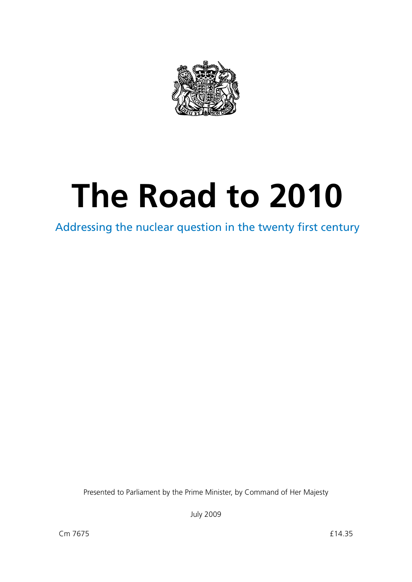

# **The Road to 2010**

Addressing the nuclear question in the twenty first century

Presented to Parliament by the Prime Minister, by Command of Her Majesty

July 2009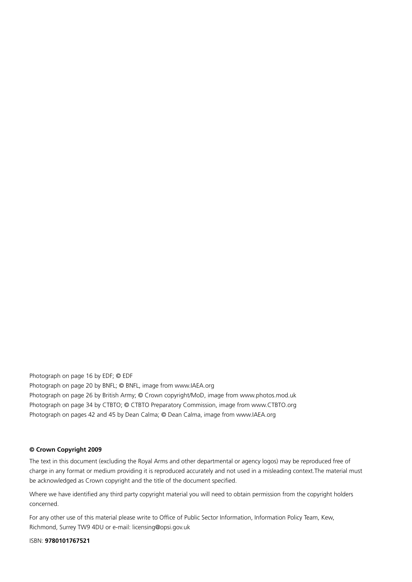Photograph on page 16 by EDF; © EDF Photograph on page 20 by BNFL; © BNFL, image from [www.IAEA.org](http://www.IAEA.org) Photograph on page 26 by British Army; © Crown copyright/MoD, image from [www.photos.mod.uk](http://www.photos.mod.uk) Photograph on page 34 by CTBTO; © CTBTO Preparatory Commission, image from [www.CTBTO.org](http://www.CTBTO.org) Photograph on pages 42 and 45 by Dean Calma; © Dean Calma, image from [www.IAEA.org](http://www.IAEA.org)

#### **© Crown Copyright 2009**

The text in this document (excluding the Royal Arms and other departmental or agency logos) may be reproduced free of charge in any format or medium providing it is reproduced accurately and not used in a misleading context.The material must be acknowledged as Crown copyright and the title of the document specified.

Where we have identified any third party copyright material you will need to obtain permission from the copyright holders concerned.

For any other use of this material please write to Office of Public Sector Information, Information Policy Team, Kew, Richmond, Surrey TW9 4DU or e-mail: [licensing@opsi.gov.uk](mailto:licensing@opsi.gov.uk)

ISBN: **9780101767521**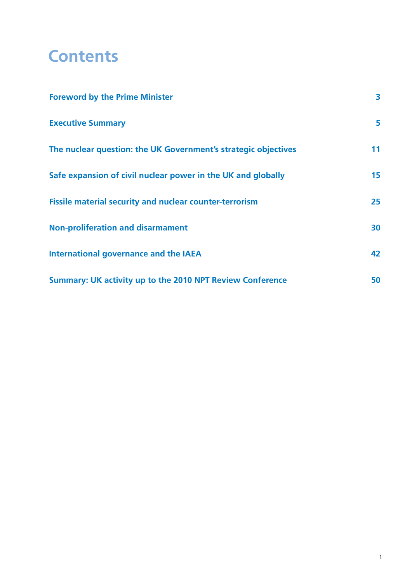## **Contents**

| <b>Foreword by the Prime Minister</b>                          | 3  |
|----------------------------------------------------------------|----|
| <b>Executive Summary</b>                                       | 5  |
| The nuclear question: the UK Government's strategic objectives | 11 |
| Safe expansion of civil nuclear power in the UK and globally   | 15 |
| <b>Fissile material security and nuclear counter-terrorism</b> | 25 |
| <b>Non-proliferation and disarmament</b>                       | 30 |
| <b>International governance and the IAEA</b>                   | 42 |
| Summary: UK activity up to the 2010 NPT Review Conference      | 50 |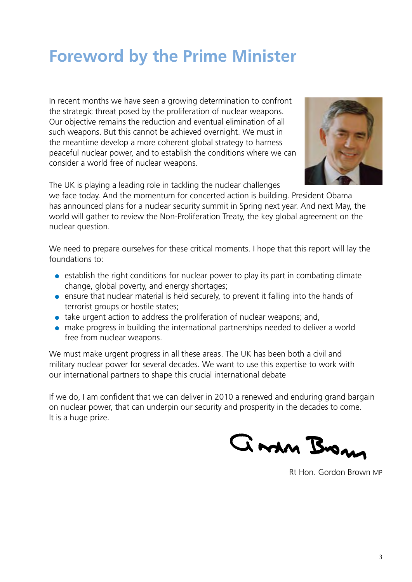# <span id="page-4-0"></span>**Foreword by the Prime Minister**

In recent months we have seen a growing determination to confront the strategic threat posed by the proliferation of nuclear weapons. Our objective remains the reduction and eventual elimination of all such weapons. But this cannot be achieved overnight. We must in the meantime develop a more coherent global strategy to harness peaceful nuclear power, and to establish the conditions where we can consider a world free of nuclear weapons.



The UK is playing a leading role in tackling the nuclear challenges

we face today. And the momentum for concerted action is building. President Obama has announced plans for a nuclear security summit in Spring next year. And next May, the world will gather to review the Non-Proliferation Treaty, the key global agreement on the nuclear question.

We need to prepare ourselves for these critical moments. I hope that this report will lay the foundations to:

- establish the right conditions for nuclear power to play its part in combating climate change, global poverty, and energy shortages;
- ensure that nuclear material is held securely, to prevent it falling into the hands of terrorist groups or hostile states;
- take urgent action to address the proliferation of nuclear weapons; and,
- make progress in building the international partnerships needed to deliver a world free from nuclear weapons.

We must make urgent progress in all these areas. The UK has been both a civil and military nuclear power for several decades. We want to use this expertise to work with our international partners to shape this crucial international debate

If we do, I am confident that we can deliver in 2010 a renewed and enduring grand bargain on nuclear power, that can underpin our security and prosperity in the decades to come. It is a huge prize.

Gran Brons

Rt Hon. Gordon Brown MP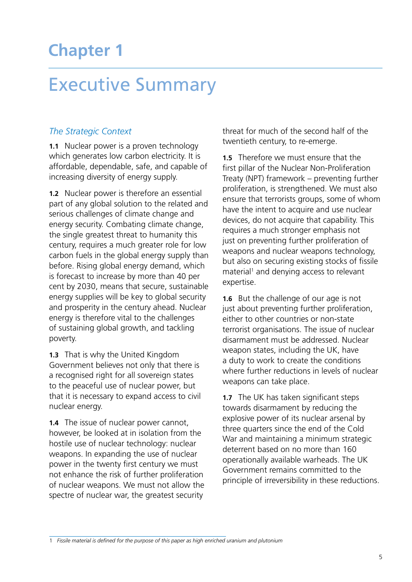## <span id="page-5-0"></span>**Chapter 1**

# Executive Summary

#### *The Strategic Context*

**1.1** Nuclear power is a proven technology which generates low carbon electricity. It is affordable, dependable, safe, and capable of increasing diversity of energy supply.

**1.2** Nuclear power is therefore an essential part of any global solution to the related and serious challenges of climate change and energy security. Combating climate change, the single greatest threat to humanity this century, requires a much greater role for low carbon fuels in the global energy supply than before. Rising global energy demand, which is forecast to increase by more than 40 per cent by 2030, means that secure, sustainable energy supplies will be key to global security and prosperity in the century ahead. Nuclear energy is therefore vital to the challenges of sustaining global growth, and tackling poverty.

**1.3** That is why the United Kingdom Government believes not only that there is a recognised right for all sovereign states to the peaceful use of nuclear power, but that it is necessary to expand access to civil nuclear energy.

**1.4** The issue of nuclear power cannot, however, be looked at in isolation from the hostile use of nuclear technology: nuclear weapons. In expanding the use of nuclear power in the twenty first century we must not enhance the risk of further proliferation of nuclear weapons. We must not allow the spectre of nuclear war, the greatest security

threat for much of the second half of the twentieth century, to re-emerge.

**1.5** Therefore we must ensure that the first pillar of the Nuclear Non-Proliferation Treaty (NPT) framework – preventing further proliferation, is strengthened. We must also ensure that terrorists groups, some of whom have the intent to acquire and use nuclear devices, do not acquire that capability. This requires a much stronger emphasis not just on preventing further proliferation of weapons and nuclear weapons technology, but also on securing existing stocks of fissile material<sup>1</sup> and denying access to relevant expertise.

**1.6** But the challenge of our age is not just about preventing further proliferation, either to other countries or non-state terrorist organisations. The issue of nuclear disarmament must be addressed. Nuclear weapon states, including the UK, have a duty to work to create the conditions where further reductions in levels of nuclear weapons can take place.

**1.7** The UK has taken significant steps towards disarmament by reducing the explosive power of its nuclear arsenal by three quarters since the end of the Cold War and maintaining a minimum strategic deterrent based on no more than 160 operationally available warheads. The UK Government remains committed to the principle of irreversibility in these reductions.

1 *Fissile material is defined for the purpose of this paper as high enriched uranium and plutonium*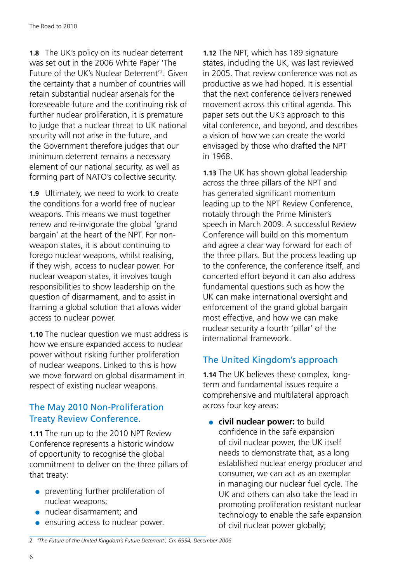**1.8** The UK's policy on its nuclear deterrent was set out in the 2006 White Paper 'The Future of the UK's Nuclear Deterrent<sup>'2</sup>. Given the certainty that a number of countries will retain substantial nuclear arsenals for the foreseeable future and the continuing risk of further nuclear proliferation, it is premature to judge that a nuclear threat to UK national security will not arise in the future, and the Government therefore judges that our minimum deterrent remains a necessary element of our national security, as well as forming part of NATO's collective security.

**1.9** Ultimately, we need to work to create the conditions for a world free of nuclear weapons. This means we must together renew and re-invigorate the global 'grand bargain' at the heart of the NPT. For nonweapon states, it is about continuing to forego nuclear weapons, whilst realising, if they wish, access to nuclear power. For nuclear weapon states, it involves tough responsibilities to show leadership on the question of disarmament, and to assist in framing a global solution that allows wider access to nuclear power.

**1.10** The nuclear question we must address is how we ensure expanded access to nuclear power without risking further proliferation of nuclear weapons. Linked to this is how we move forward on global disarmament in respect of existing nuclear weapons.

#### The May 2010 Non-Proliferation Treaty Review Conference.

**1.11** The run up to the 2010 NPT Review Conference represents a historic window of opportunity to recognise the global commitment to deliver on the three pillars of that treaty:

- preventing further proliferation of nuclear weapons;
- ●● nuclear disarmament; and
- ensuring access to nuclear power.

**1.12** The NPT, which has 189 signature states, including the UK, was last reviewed in 2005. That review conference was not as productive as we had hoped. It is essential that the next conference delivers renewed movement across this critical agenda. This paper sets out the UK's approach to this vital conference, and beyond, and describes a vision of how we can create the world envisaged by those who drafted the NPT in 1968.

**1.13** The UK has shown global leadership across the three pillars of the NPT and has generated significant momentum leading up to the NPT Review Conference, notably through the Prime Minister's speech in March 2009. A successful Review Conference will build on this momentum and agree a clear way forward for each of the three pillars. But the process leading up to the conference, the conference itself, and concerted effort beyond it can also address fundamental questions such as how the UK can make international oversight and enforcement of the grand global bargain most effective, and how we can make nuclear security a fourth 'pillar' of the international framework.

#### The United Kingdom's approach

**1.14** The UK believes these complex, longterm and fundamental issues require a comprehensive and multilateral approach across four key areas:

**• civil nuclear power:** to build confidence in the safe expansion of civil nuclear power, the UK itself needs to demonstrate that, as a long established nuclear energy producer and consumer, we can act as an exemplar in managing our nuclear fuel cycle. The UK and others can also take the lead in promoting proliferation resistant nuclear technology to enable the safe expansion of civil nuclear power globally;

<sup>2</sup> *'The Future of the United Kingdom's Future Deterrent', Cm 6994, December 2006*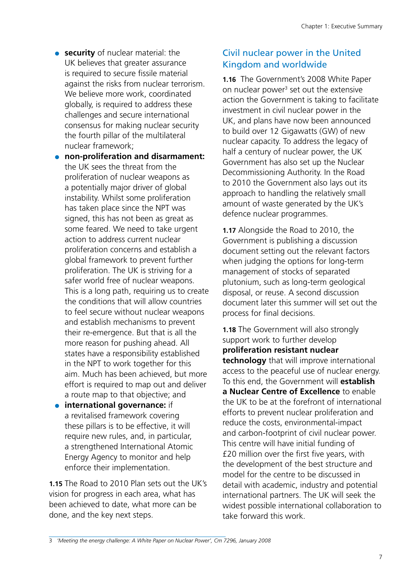**• security** of nuclear material: the UK believes that greater assurance is required to secure fissile material against the risks from nuclear terrorism. We believe more work, coordinated globally, is required to address these challenges and secure international consensus for making nuclear security the fourth pillar of the multilateral nuclear framework;

●● **non-proliferation and disarmament:**  the UK sees the threat from the proliferation of nuclear weapons as a potentially major driver of global instability. Whilst some proliferation has taken place since the NPT was signed, this has not been as great as some feared. We need to take urgent action to address current nuclear proliferation concerns and establish a global framework to prevent further proliferation. The UK is striving for a safer world free of nuclear weapons. This is a long path, requiring us to create the conditions that will allow countries to feel secure without nuclear weapons and establish mechanisms to prevent their re-emergence. But that is all the more reason for pushing ahead. All states have a responsibility established in the NPT to work together for this aim. Much has been achieved, but more effort is required to map out and deliver a route map to that objective; and

**• international governance:** if a revitalised framework covering these pillars is to be effective, it will require new rules, and, in particular, a strengthened International Atomic Energy Agency to monitor and help enforce their implementation.

**1.15** The Road to 2010 Plan sets out the UK's vision for progress in each area, what has been achieved to date, what more can be done, and the key next steps.

#### Civil nuclear power in the United Kingdom and worldwide

**1.16** The Government's 2008 White Paper on nuclear power<sup>3</sup> set out the extensive action the Government is taking to facilitate investment in civil nuclear power in the UK, and plans have now been announced to build over 12 Gigawatts (GW) of new nuclear capacity. To address the legacy of half a century of nuclear power, the UK Government has also set up the Nuclear Decommissioning Authority. In the Road to 2010 the Government also lays out its approach to handling the relatively small amount of waste generated by the UK's defence nuclear programmes.

**1.17** Alongside the Road to 2010, the Government is publishing a discussion document setting out the relevant factors when judging the options for long-term management of stocks of separated plutonium, such as long-term geological disposal, or reuse. A second discussion document later this summer will set out the process for final decisions.

**1.18** The Government will also strongly support work to further develop **proliferation resistant nuclear technology** that will improve international access to the peaceful use of nuclear energy. To this end, the Government will **establish a Nuclear Centre of Excellence** to enable the UK to be at the forefront of international efforts to prevent nuclear proliferation and reduce the costs, environmental-impact and carbon-footprint of civil nuclear power. This centre will have initial funding of £20 million over the first five years, with the development of the best structure and model for the centre to be discussed in detail with academic, industry and potential international partners. The UK will seek the widest possible international collaboration to take forward this work.

<sup>3</sup> *'Meeting the energy challenge: A White Paper on Nuclear Power', Cm 7296, January 2008*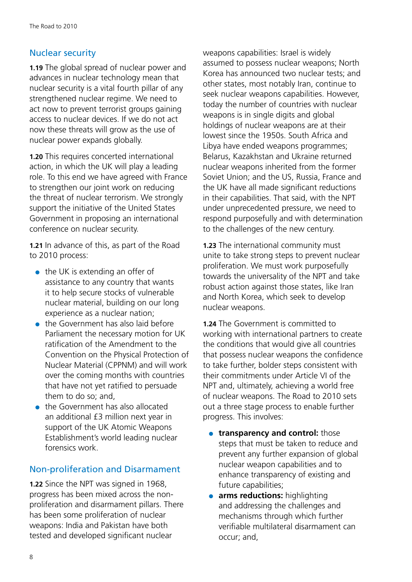#### Nuclear security

**1.19** The global spread of nuclear power and advances in nuclear technology mean that nuclear security is a vital fourth pillar of any strengthened nuclear regime. We need to act now to prevent terrorist groups gaining access to nuclear devices. If we do not act now these threats will grow as the use of nuclear power expands globally.

**1.20** This requires concerted international action, in which the UK will play a leading role. To this end we have agreed with France to strengthen our joint work on reducing the threat of nuclear terrorism. We strongly support the initiative of the United States Government in proposing an international conference on nuclear security.

**1.21** In advance of this, as part of the Road to 2010 process:

- $\bullet$  the UK is extending an offer of assistance to any country that wants it to help secure stocks of vulnerable nuclear material, building on our long experience as a nuclear nation;
- the Government has also laid before Parliament the necessary motion for UK ratification of the Amendment to the Convention on the Physical Protection of Nuclear Material (CPPNM) and will work over the coming months with countries that have not yet ratified to persuade them to do so; and,
- the Government has also allocated an additional £3 million next year in support of the UK Atomic Weapons Establishment's world leading nuclear forensics work.

#### Non-proliferation and Disarmament

**1.22** Since the NPT was signed in 1968, progress has been mixed across the nonproliferation and disarmament pillars. There has been some proliferation of nuclear weapons: India and Pakistan have both tested and developed significant nuclear

weapons capabilities: Israel is widely assumed to possess nuclear weapons; North Korea has announced two nuclear tests; and other states, most notably Iran, continue to seek nuclear weapons capabilities. However, today the number of countries with nuclear weapons is in single digits and global holdings of nuclear weapons are at their lowest since the 1950s. South Africa and Libya have ended weapons programmes; Belarus, Kazakhstan and Ukraine returned nuclear weapons inherited from the former Soviet Union; and the US, Russia, France and the UK have all made significant reductions in their capabilities. That said, with the NPT under unprecedented pressure, we need to respond purposefully and with determination to the challenges of the new century.

**1.23** The international community must unite to take strong steps to prevent nuclear proliferation. We must work purposefully towards the universality of the NPT and take robust action against those states, like Iran and North Korea, which seek to develop nuclear weapons.

**1.24** The Government is committed to working with international partners to create the conditions that would give all countries that possess nuclear weapons the confidence to take further, bolder steps consistent with their commitments under Article VI of the NPT and, ultimately, achieving a world free of nuclear weapons. The Road to 2010 sets out a three stage process to enable further progress. This involves:

- **transparency and control:** those steps that must be taken to reduce and prevent any further expansion of global nuclear weapon capabilities and to enhance transparency of existing and future capabilities;
- **arms reductions:** highlighting and addressing the challenges and mechanisms through which further verifiable multilateral disarmament can occur; and,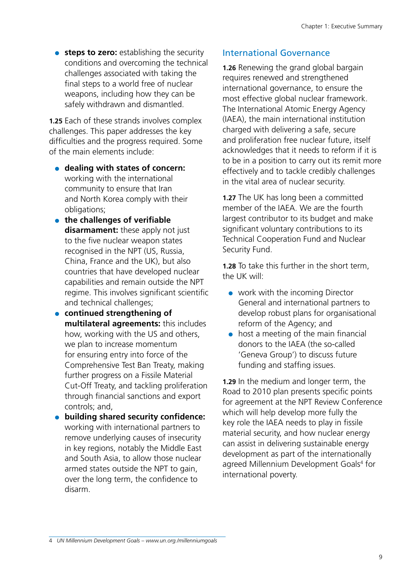**• steps to zero:** establishing the security conditions and overcoming the technical challenges associated with taking the final steps to a world free of nuclear weapons, including how they can be safely withdrawn and dismantled.

**1.25** Each of these strands involves complex challenges. This paper addresses the key difficulties and the progress required. Some of the main elements include:

- **dealing with states of concern:** working with the international community to ensure that Iran and North Korea comply with their obligations;
- **•** the challenges of verifiable **disarmament:** these apply not just to the five nuclear weapon states recognised in the NPT (US, Russia, China, France and the UK), but also countries that have developed nuclear capabilities and remain outside the NPT regime. This involves significant scientific and technical challenges;
- ●● **continued strengthening of multilateral agreements:** this includes how, working with the US and others, we plan to increase momentum for ensuring entry into force of the Comprehensive Test Ban Treaty, making further progress on a Fissile Material Cut-Off Treaty, and tackling proliferation through financial sanctions and export controls; and,
- ●● **building shared security confidence:** working with international partners to remove underlying causes of insecurity in key regions, notably the Middle East and South Asia, to allow those nuclear armed states outside the NPT to gain, over the long term, the confidence to disarm.

#### International Governance

**1.26** Renewing the grand global bargain requires renewed and strengthened international governance, to ensure the most effective global nuclear framework. The International Atomic Energy Agency (IAEA), the main international institution charged with delivering a safe, secure and proliferation free nuclear future, itself acknowledges that it needs to reform if it is to be in a position to carry out its remit more effectively and to tackle credibly challenges in the vital area of nuclear security.

**1.27** The UK has long been a committed member of the IAEA. We are the fourth largest contributor to its budget and make significant voluntary contributions to its Technical Cooperation Fund and Nuclear Security Fund.

**1.28** To take this further in the short term, the UK will:

- work with the incoming Director General and international partners to develop robust plans for organisational reform of the Agency; and
- host a meeting of the main financial donors to the IAEA (the so-called 'Geneva Group') to discuss future funding and staffing issues.

**1.29** In the medium and longer term, the Road to 2010 plan presents specific points for agreement at the NPT Review Conference which will help develop more fully the key role the IAEA needs to play in fissile material security, and how nuclear energy can assist in delivering sustainable energy development as part of the internationally agreed Millennium Development Goals<sup>4</sup> for international poverty.

<sup>4</sup> *UN Millennium Development Goals – [www.un.org./millenniumgoals](http://www.un.org./millenniumgoals)*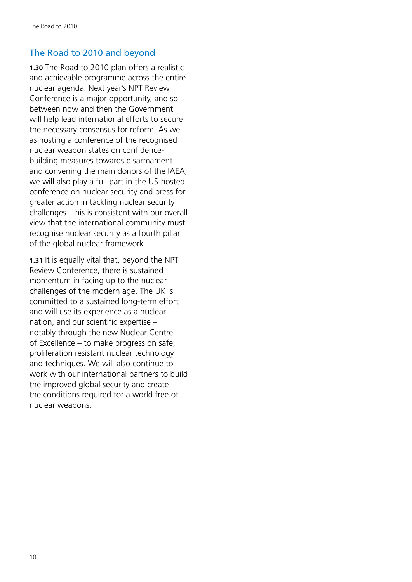#### The Road to 2010 and beyond

**1.30** The Road to 2010 plan offers a realistic and achievable programme across the entire nuclear agenda. Next year's NPT Review Conference is a major opportunity, and so between now and then the Government will help lead international efforts to secure the necessary consensus for reform. As well as hosting a conference of the recognised nuclear weapon states on confidencebuilding measures towards disarmament and convening the main donors of the IAEA, we will also play a full part in the US-hosted conference on nuclear security and press for greater action in tackling nuclear security challenges. This is consistent with our overall view that the international community must recognise nuclear security as a fourth pillar of the global nuclear framework.

**1.31** It is equally vital that, beyond the NPT Review Conference, there is sustained momentum in facing up to the nuclear challenges of the modern age. The UK is committed to a sustained long-term effort and will use its experience as a nuclear nation, and our scientific expertise – notably through the new Nuclear Centre of Excellence – to make progress on safe, proliferation resistant nuclear technology and techniques. We will also continue to work with our international partners to build the improved global security and create the conditions required for a world free of nuclear weapons.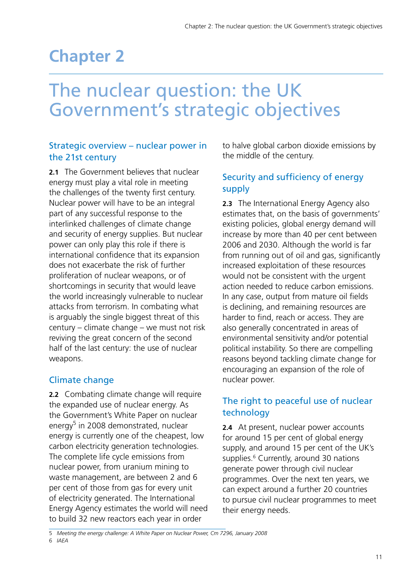# <span id="page-11-0"></span>**Chapter 2**

# The nuclear question: the UK Government's strategic objectives

#### Strategic overview – nuclear power in the 21st century

**2.1** The Government believes that nuclear energy must play a vital role in meeting the challenges of the twenty first century. Nuclear power will have to be an integral part of any successful response to the interlinked challenges of climate change and security of energy supplies. But nuclear power can only play this role if there is international confidence that its expansion does not exacerbate the risk of further proliferation of nuclear weapons, or of shortcomings in security that would leave the world increasingly vulnerable to nuclear attacks from terrorism. In combating what is arguably the single biggest threat of this century – climate change – we must not risk reviving the great concern of the second half of the last century: the use of nuclear weapons.

#### Climate change

**2.2** Combating climate change will require the expanded use of nuclear energy. As the Government's White Paper on nuclear energy<sup>5</sup> in 2008 demonstrated, nuclear energy is currently one of the cheapest, low carbon electricity generation technologies. The complete life cycle emissions from nuclear power, from uranium mining to waste management, are between 2 and 6 per cent of those from gas for every unit of electricity generated. The International Energy Agency estimates the world will need to build 32 new reactors each year in order

to halve global carbon dioxide emissions by the middle of the century.

#### Security and sufficiency of energy supply

**2.3** The International Energy Agency also estimates that, on the basis of governments' existing policies, global energy demand will increase by more than 40 per cent between 2006 and 2030. Although the world is far from running out of oil and gas, significantly increased exploitation of these resources would not be consistent with the urgent action needed to reduce carbon emissions. In any case, output from mature oil fields is declining, and remaining resources are harder to find, reach or access. They are also generally concentrated in areas of environmental sensitivity and/or potential political instability. So there are compelling reasons beyond tackling climate change for encouraging an expansion of the role of nuclear power.

#### The right to peaceful use of nuclear technology

**2.4** At present, nuclear power accounts for around 15 per cent of global energy supply, and around 15 per cent of the UK's supplies.<sup>6</sup> Currently, around 30 nations generate power through civil nuclear programmes. Over the next ten years, we can expect around a further 20 countries to pursue civil nuclear programmes to meet their energy needs.

<sup>5</sup> *Meeting the energy challenge: A White Paper on Nuclear Power, Cm 7296, January 2008*

<sup>6</sup> *IAEA*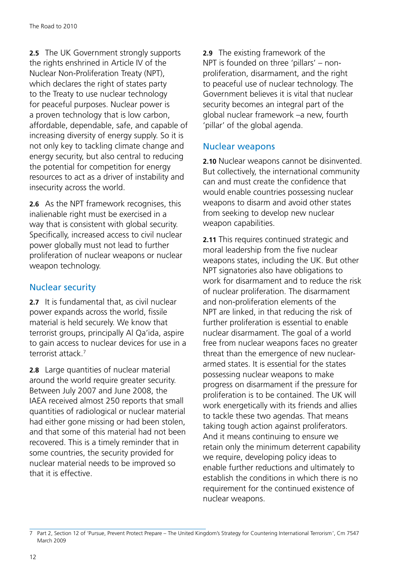**2.5** The UK Government strongly supports the rights enshrined in Article IV of the Nuclear Non-Proliferation Treaty (NPT), which declares the right of states party to the Treaty to use nuclear technology for peaceful purposes. Nuclear power is a proven technology that is low carbon, affordable, dependable, safe, and capable of increasing diversity of energy supply. So it is not only key to tackling climate change and energy security, but also central to reducing the potential for competition for energy resources to act as a driver of instability and insecurity across the world.

**2.6** As the NPT framework recognises, this inalienable right must be exercised in a way that is consistent with global security. Specifically, increased access to civil nuclear power globally must not lead to further proliferation of nuclear weapons or nuclear weapon technology.

#### Nuclear security

**2.7** It is fundamental that, as civil nuclear power expands across the world, fissile material is held securely. We know that terrorist groups, principally Al Qa'ida, aspire to gain access to nuclear devices for use in a terrorist attack<sup>7</sup>

**2.8** Large quantities of nuclear material around the world require greater security. Between July 2007 and June 2008, the IAEA received almost 250 reports that small quantities of radiological or nuclear material had either gone missing or had been stolen, and that some of this material had not been recovered. This is a timely reminder that in some countries, the security provided for nuclear material needs to be improved so that it is effective.

**2.9** The existing framework of the NPT is founded on three 'pillars' – nonproliferation, disarmament, and the right to peaceful use of nuclear technology. The Government believes it is vital that nuclear security becomes an integral part of the global nuclear framework –a new, fourth 'pillar' of the global agenda.

#### Nuclear weapons

**2.10** Nuclear weapons cannot be disinvented. But collectively, the international community can and must create the confidence that would enable countries possessing nuclear weapons to disarm and avoid other states from seeking to develop new nuclear weapon capabilities.

**2.11** This requires continued strategic and moral leadership from the five nuclear weapons states, including the UK. But other NPT signatories also have obligations to work for disarmament and to reduce the risk of nuclear proliferation. The disarmament and non-proliferation elements of the NPT are linked, in that reducing the risk of further proliferation is essential to enable nuclear disarmament. The goal of a world free from nuclear weapons faces no greater threat than the emergence of new nucleararmed states. It is essential for the states possessing nuclear weapons to make progress on disarmament if the pressure for proliferation is to be contained. The UK will work energetically with its friends and allies to tackle these two agendas. That means taking tough action against proliferators. And it means continuing to ensure we retain only the minimum deterrent capability we require, developing policy ideas to enable further reductions and ultimately to establish the conditions in which there is no requirement for the continued existence of nuclear weapons.

<sup>7</sup> Part 2, Section 12 of 'Pursue, Prevent Protect Prepare – The United Kingdom's Strategy for Countering International Terrorism', Cm 7547 March 2009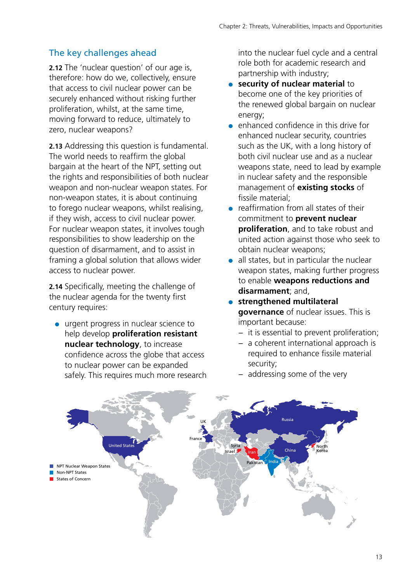#### The key challenges ahead

**2.12** The 'nuclear question' of our age is, therefore: how do we, collectively, ensure that access to civil nuclear power can be securely enhanced without risking further proliferation, whilst, at the same time, moving forward to reduce, ultimately to zero, nuclear weapons?

**2.13** Addressing this question is fundamental. The world needs to reaffirm the global bargain at the heart of the NPT, setting out the rights and responsibilities of both nuclear weapon and non-nuclear weapon states. For non-weapon states, it is about continuing to forego nuclear weapons, whilst realising, if they wish, access to civil nuclear power. For nuclear weapon states, it involves tough responsibilities to show leadership on the question of disarmament, and to assist in framing a global solution that allows wider access to nuclear power.

**2.14** Specifically, meeting the challenge of the nuclear agenda for the twenty first century requires:

● urgent progress in nuclear science to help develop **proliferation resistant nuclear technology**, to increase confidence across the globe that access to nuclear power can be expanded safely. This requires much more research into the nuclear fuel cycle and a central role both for academic research and partnership with industry;

- **security of nuclear material to** become one of the key priorities of the renewed global bargain on nuclear energy;
- enhanced confidence in this drive for enhanced nuclear security, countries such as the UK, with a long history of both civil nuclear use and as a nuclear weapons state, need to lead by example in nuclear safety and the responsible management of **existing stocks** of fissile material;
- reaffirmation from all states of their commitment to **prevent nuclear proliferation**, and to take robust and united action against those who seek to obtain nuclear weapons;
- all states, but in particular the nuclear weapon states, making further progress to enable **weapons reductions and disarmament**; and,
- ●● **strengthened multilateral governance** of nuclear issues. This is important because:
	- − it is essential to prevent proliferation;
	- − a coherent international approach is required to enhance fissile material security;



− addressing some of the very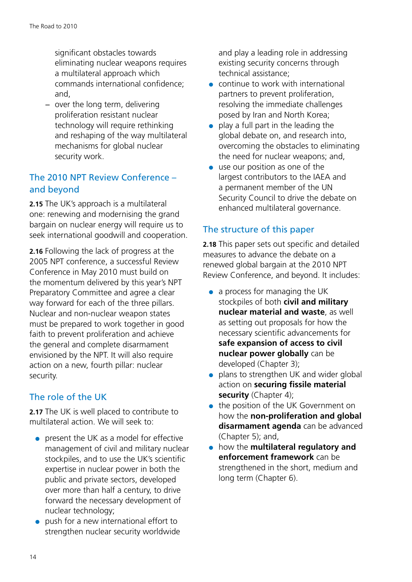significant obstacles towards eliminating nuclear weapons requires a multilateral approach which commands international confidence; and,

− over the long term, delivering proliferation resistant nuclear technology will require rethinking and reshaping of the way multilateral mechanisms for global nuclear security work.

#### The 2010 NPT Review Conference – and beyond

**2.15** The UK's approach is a multilateral one: renewing and modernising the grand bargain on nuclear energy will require us to seek international goodwill and cooperation.

**2.16** Following the lack of progress at the 2005 NPT conference, a successful Review Conference in May 2010 must build on the momentum delivered by this year's NPT Preparatory Committee and agree a clear way forward for each of the three pillars. Nuclear and non-nuclear weapon states must be prepared to work together in good faith to prevent proliferation and achieve the general and complete disarmament envisioned by the NPT. It will also require action on a new, fourth pillar: nuclear security.

#### The role of the UK

**2.17** The UK is well placed to contribute to multilateral action. We will seek to:

- present the UK as a model for effective management of civil and military nuclear stockpiles, and to use the UK's scientific expertise in nuclear power in both the public and private sectors, developed over more than half a century, to drive forward the necessary development of nuclear technology;
- push for a new international effort to strengthen nuclear security worldwide

and play a leading role in addressing existing security concerns through technical assistance;

- continue to work with international partners to prevent proliferation, resolving the immediate challenges posed by Iran and North Korea;
- $\bullet$  play a full part in the leading the global debate on, and research into, overcoming the obstacles to eliminating the need for nuclear weapons; and,
- use our position as one of the largest contributors to the IAEA and a permanent member of the UN Security Council to drive the debate on enhanced multilateral governance.

#### The structure of this paper

**2.18** This paper sets out specific and detailed measures to advance the debate on a renewed global bargain at the 2010 NPT Review Conference, and beyond. It includes:

- $\bullet$  a process for managing the UK stockpiles of both **civil and military nuclear material and waste**, as well as setting out proposals for how the necessary scientific advancements for **safe expansion of access to civil nuclear power globally** can be developed (Chapter 3);
- plans to strengthen UK and wider global action on **securing fissile material**  security (Chapter 4);
- the position of the UK Government on how the **non-proliferation and global disarmament agenda** can be advanced (Chapter 5); and,
- ●● how the **multilateral regulatory and enforcement framework** can be strengthened in the short, medium and long term (Chapter 6).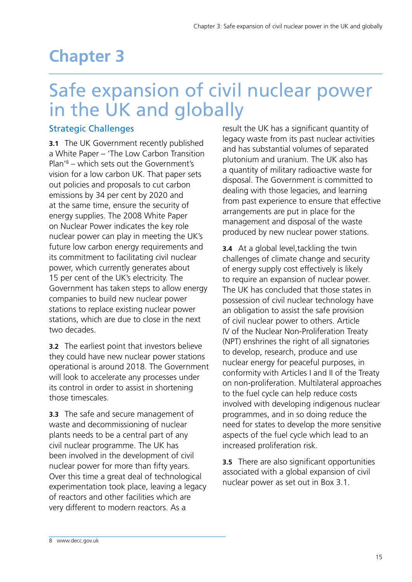# <span id="page-15-0"></span>**Chapter 3**

# Safe expansion of civil nuclear power in the UK and globally

#### Strategic Challenges

**3.1** The UK Government recently published a White Paper – 'The Low Carbon Transition Plan'8 – which sets out the Government's vision for a low carbon UK. That paper sets out policies and proposals to cut carbon emissions by 34 per cent by 2020 and at the same time, ensure the security of energy supplies. The 2008 White Paper on Nuclear Power indicates the key role nuclear power can play in meeting the UK's future low carbon energy requirements and its commitment to facilitating civil nuclear power, which currently generates about 15 per cent of the UK's electricity. The Government has taken steps to allow energy companies to build new nuclear power stations to replace existing nuclear power stations, which are due to close in the next two decades.

**3.2** The earliest point that investors believe they could have new nuclear power stations operational is around 2018. The Government will look to accelerate any processes under its control in order to assist in shortening those timescales.

**3.3** The safe and secure management of waste and decommissioning of nuclear plants needs to be a central part of any civil nuclear programme. The UK has been involved in the development of civil nuclear power for more than fifty years. Over this time a great deal of technological experimentation took place, leaving a legacy of reactors and other facilities which are very different to modern reactors. As a

result the UK has a significant quantity of legacy waste from its past nuclear activities and has substantial volumes of separated plutonium and uranium. The UK also has a quantity of military radioactive waste for disposal. The Government is committed to dealing with those legacies, and learning from past experience to ensure that effective arrangements are put in place for the management and disposal of the waste produced by new nuclear power stations.

**3.4** At a global level,tackling the twin challenges of climate change and security of energy supply cost effectively is likely to require an expansion of nuclear power. The UK has concluded that those states in possession of civil nuclear technology have an obligation to assist the safe provision of civil nuclear power to others. Article IV of the Nuclear Non-Proliferation Treaty (NPT) enshrines the right of all signatories to develop, research, produce and use nuclear energy for peaceful purposes, in conformity with Articles I and II of the Treaty on non-proliferation. Multilateral approaches to the fuel cycle can help reduce costs involved with developing indigenous nuclear programmes, and in so doing reduce the need for states to develop the more sensitive aspects of the fuel cycle which lead to an increased proliferation risk.

**3.5** There are also significant opportunities associated with a global expansion of civil nuclear power as set out in Box 3.1.

<sup>8</sup> [www.decc.gov.uk](http://www.decc.gov.uk)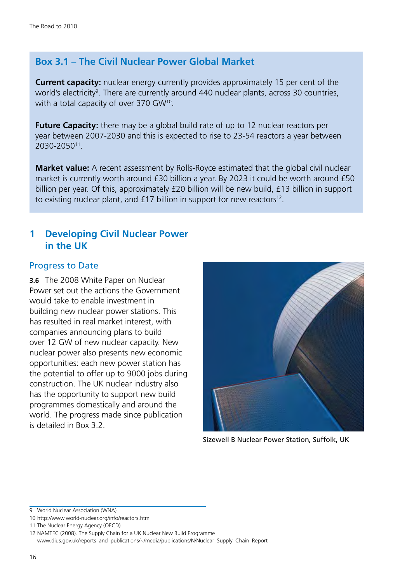#### **Box 3.1 – The Civil Nuclear Power Global Market**

**Current capacity:** nuclear energy currently provides approximately 15 per cent of the world's electricity<sup>9</sup>. There are currently around 440 nuclear plants, across 30 countries, with a total capacity of over 370 GW<sup>10</sup>.

**Future Capacity:** there may be a global build rate of up to 12 nuclear reactors per year between 2007-2030 and this is expected to rise to 23-54 reactors a year between 2030-205011.

**Market value:** A recent assessment by Rolls-Royce estimated that the global civil nuclear market is currently worth around £30 billion a year. By 2023 it could be worth around £50 billion per year. Of this, approximately £20 billion will be new build, £13 billion in support to existing nuclear plant, and  $£17$  billion in support for new reactors<sup>12</sup>.

#### **1 Developing Civil Nuclear Power in the UK**

#### Progress to Date

**3.6** The 2008 White Paper on Nuclear Power set out the actions the Government would take to enable investment in building new nuclear power stations. This has resulted in real market interest, with companies announcing plans to build over 12 GW of new nuclear capacity. New nuclear power also presents new economic opportunities: each new power station has the potential to offer up to 9000 jobs during construction. The UK nuclear industry also has the opportunity to support new build programmes domestically and around the world. The progress made since publication is detailed in Box 3.2.



Sizewell B Nuclear Power Station, Suffolk, UK

9 World Nuclear Association (WNA)

<sup>10</sup> <http://www.world-nuclear.org/info/reactors.html>

<sup>11</sup> The Nuclear Energy Agency (OECD)

<sup>12</sup> NAMTEC (2008). The Supply Chain for a UK Nuclear New Build Programme

[www.dius.gov.uk/reports\\_and\\_publications/~/media/publications/N/Nuclear\\_Supply\\_Chain\\_Report](http://www.dius.gov.uk/reports_and_publications/~/media/publications/N/Nuclear_Supply_Chain_Report)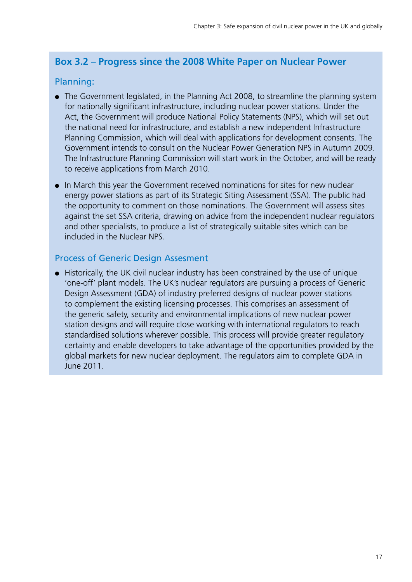#### **Box 3.2 – Progress since the 2008 White Paper on Nuclear Power**

#### Planning:

- The Government legislated, in the Planning Act 2008, to streamline the planning system for nationally significant infrastructure, including nuclear power stations. Under the Act, the Government will produce National Policy Statements (NPS), which will set out the national need for infrastructure, and establish a new independent Infrastructure Planning Commission, which will deal with applications for development consents. The Government intends to consult on the Nuclear Power Generation NPS in Autumn 2009. The Infrastructure Planning Commission will start work in the October, and will be ready to receive applications from March 2010.
- ●● In March this year the Government received nominations for sites for new nuclear energy power stations as part of its Strategic Siting Assessment (SSA). The public had the opportunity to comment on those nominations. The Government will assess sites against the set SSA criteria, drawing on advice from the independent nuclear regulators and other specialists, to produce a list of strategically suitable sites which can be included in the Nuclear NPS.

#### Process of Generic Design Assesment

● Historically, the UK civil nuclear industry has been constrained by the use of unique 'one-off' plant models. The UK's nuclear regulators are pursuing a process of Generic Design Assessment (GDA) of industry preferred designs of nuclear power stations to complement the existing licensing processes. This comprises an assessment of the generic safety, security and environmental implications of new nuclear power station designs and will require close working with international regulators to reach standardised solutions wherever possible. This process will provide greater regulatory certainty and enable developers to take advantage of the opportunities provided by the global markets for new nuclear deployment. The regulators aim to complete GDA in June 2011.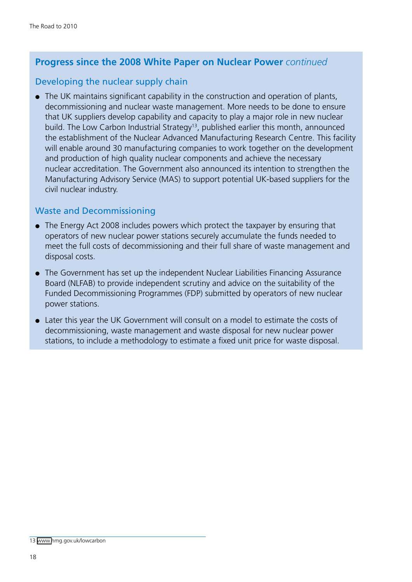#### **Progress since the 2008 White Paper on Nuclear Power** *continued*

#### Developing the nuclear supply chain

• The UK maintains significant capability in the construction and operation of plants, decommissioning and nuclear waste management. More needs to be done to ensure that UK suppliers develop capability and capacity to play a major role in new nuclear build. The Low Carbon Industrial Strategy<sup>13</sup>, published earlier this month, announced the establishment of the Nuclear Advanced Manufacturing Research Centre. This facility will enable around 30 manufacturing companies to work together on the development and production of high quality nuclear components and achieve the necessary nuclear accreditation. The Government also announced its intention to strengthen the Manufacturing Advisory Service (MAS) to support potential UK-based suppliers for the civil nuclear industry.

#### Waste and Decommissioning

- The Energy Act 2008 includes powers which protect the taxpayer by ensuring that operators of new nuclear power stations securely accumulate the funds needed to meet the full costs of decommissioning and their full share of waste management and disposal costs.
- The Government has set up the independent Nuclear Liabilities Financing Assurance Board (NLFAB) to provide independent scrutiny and advice on the suitability of the Funded Decommissioning Programmes (FDP) submitted by operators of new nuclear power stations.
- Later this year the UK Government will consult on a model to estimate the costs of decommissioning, waste management and waste disposal for new nuclear power stations, to include a methodology to estimate a fixed unit price for waste disposal.

<sup>13</sup> [www](http://www.berr.gov.uk/energy/sources/nuclear/index.html/sources/nuclear/index.html )[.hmg.gov.uk/lowcarbon](http://www.hmg.gov.uk/lowcarbon)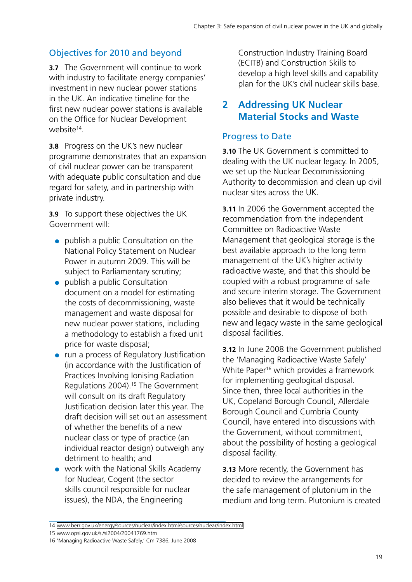#### Objectives for 2010 and beyond

**3.7** The Government will continue to work with industry to facilitate energy companies' investment in new nuclear power stations in the UK. An indicative timeline for the first new nuclear power stations is available on the Office for Nuclear Development website<sup>14</sup>.

**3.8** Progress on the UK's new nuclear programme demonstrates that an expansion of civil nuclear power can be transparent with adequate public consultation and due regard for safety, and in partnership with private industry.

**3.9** To support these objectives the UK Government will:

- publish a public Consultation on the National Policy Statement on Nuclear Power in autumn 2009. This will be subject to Parliamentary scrutiny;
- publish a public Consultation document on a model for estimating the costs of decommissioning, waste management and waste disposal for new nuclear power stations, including a methodology to establish a fixed unit price for waste disposal;
- run a process of Regulatory Justification (in accordance with the Justification of Practices Involving Ionising Radiation Regulations 2004).15 The Government will consult on its draft Regulatory Justification decision later this year. The draft decision will set out an assessment of whether the benefits of a new nuclear class or type of practice (an individual reactor design) outweigh any detriment to health; and
- work with the National Skills Academy for Nuclear, Cogent (the sector skills council responsible for nuclear issues), the NDA, the Engineering

Construction Industry Training Board (ECITB) and Construction Skills to develop a high level skills and capability plan for the UK's civil nuclear skills base.

#### **2 Addressing UK Nuclear Material Stocks and Waste**

#### Progress to Date

**3.10** The UK Government is committed to dealing with the UK nuclear legacy. In 2005, we set up the Nuclear Decommissioning Authority to decommission and clean up civil nuclear sites across the UK.

**3.11** In 2006 the Government accepted the recommendation from the independent Committee on Radioactive Waste Management that geological storage is the best available approach to the long term management of the UK's higher activity radioactive waste, and that this should be coupled with a robust programme of safe and secure interim storage. The Government also believes that it would be technically possible and desirable to dispose of both new and legacy waste in the same geological disposal facilities.

**3.12** In June 2008 the Government published the 'Managing Radioactive Waste Safely' White Paper<sup>16</sup> which provides a framework for implementing geological disposal. Since then, three local authorities in the UK, Copeland Borough Council, Allerdale Borough Council and Cumbria County Council, have entered into discussions with the Government, without commitment, about the possibility of hosting a geological disposal facility.

**3.13** More recently, the Government has decided to review the arrangements for the safe management of plutonium in the medium and long term. Plutonium is created

<sup>14</sup> [www.berr.gov.uk/energy/sources/nuclear/index.html/sources/nuclear/index.html](http://www.berr.gov.uk/energy/sources/nuclear/index.html/sources/nuclear/index.html )

<sup>15</sup> [www.opsi.gov.uk/si/si2004/20041769.htm](http://www.opsi.gov.uk/si/si2004/20041769.htm)

<sup>16</sup> 'Managing Radioactive Waste Safely,' Cm 7386, June 2008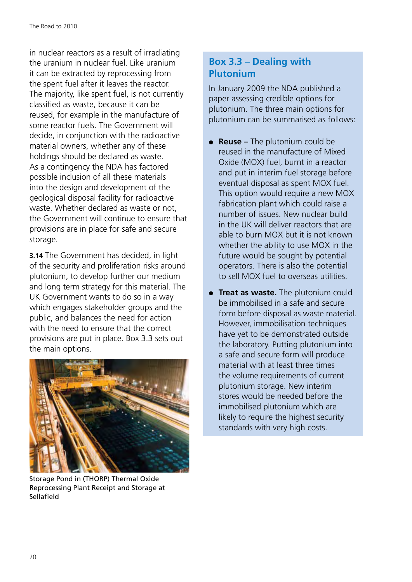in nuclear reactors as a result of irradiating the uranium in nuclear fuel. Like uranium it can be extracted by reprocessing from the spent fuel after it leaves the reactor. The majority, like spent fuel, is not currently classified as waste, because it can be reused, for example in the manufacture of some reactor fuels. The Government will decide, in conjunction with the radioactive material owners, whether any of these holdings should be declared as waste. As a contingency the NDA has factored possible inclusion of all these materials into the design and development of the geological disposal facility for radioactive waste. Whether declared as waste or not, the Government will continue to ensure that provisions are in place for safe and secure storage.

**3.14** The Government has decided, in light of the security and proliferation risks around plutonium, to develop further our medium and long term strategy for this material. The UK Government wants to do so in a way which engages stakeholder groups and the public, and balances the need for action with the need to ensure that the correct provisions are put in place. Box 3.3 sets out the main options.



Storage Pond in (THORP) Thermal Oxide Reprocessing Plant Receipt and Storage at Sellafield

#### **Box 3.3 – Dealing with Plutonium**

In January 2009 the NDA published a paper assessing credible options for plutonium. The three main options for plutonium can be summarised as follows:

- **Reuse** The plutonium could be reused in the manufacture of Mixed Oxide (MOX) fuel, burnt in a reactor and put in interim fuel storage before eventual disposal as spent MOX fuel. This option would require a new MOX fabrication plant which could raise a number of issues. New nuclear build in the UK will deliver reactors that are able to burn MOX but it is not known whether the ability to use MOX in the future would be sought by potential operators. There is also the potential to sell MOX fuel to overseas utilities.
- **Treat as waste.** The plutonium could be immobilised in a safe and secure form before disposal as waste material. However, immobilisation techniques have yet to be demonstrated outside the laboratory. Putting plutonium into a safe and secure form will produce material with at least three times the volume requirements of current plutonium storage. New interim stores would be needed before the immobilised plutonium which are likely to require the highest security standards with very high costs.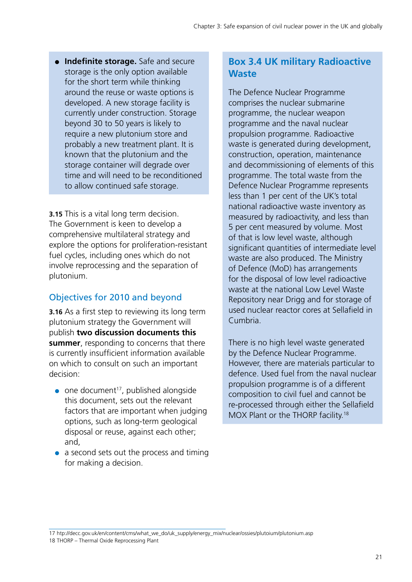●● **Indefinite storage.** Safe and secure storage is the only option available for the short term while thinking around the reuse or waste options is developed. A new storage facility is currently under construction. Storage beyond 30 to 50 years is likely to require a new plutonium store and probably a new treatment plant. It is known that the plutonium and the storage container will degrade over time and will need to be reconditioned to allow continued safe storage.

**3.15** This is a vital long term decision. The Government is keen to develop a comprehensive multilateral strategy and explore the options for proliferation-resistant fuel cycles, including ones which do not involve reprocessing and the separation of plutonium.

#### Objectives for 2010 and beyond

**3.16** As a first step to reviewing its long term plutonium strategy the Government will publish **two discussion documents this summer**, responding to concerns that there is currently insufficient information available on which to consult on such an important decision:

- $\bullet$  one document<sup>17</sup>, published alongside this document, sets out the relevant factors that are important when judging options, such as long-term geological disposal or reuse, against each other; and,
- a second sets out the process and timing for making a decision.

#### **Box 3.4 UK military Radioactive Waste**

The Defence Nuclear Programme comprises the nuclear submarine programme, the nuclear weapon programme and the naval nuclear propulsion programme. Radioactive waste is generated during development, construction, operation, maintenance and decommissioning of elements of this programme. The total waste from the Defence Nuclear Programme represents less than 1 per cent of the UK's total national radioactive waste inventory as measured by radioactivity, and less than 5 per cent measured by volume. Most of that is low level waste, although significant quantities of intermediate level waste are also produced. The Ministry of Defence (MoD) has arrangements for the disposal of low level radioactive waste at the national Low Level Waste Repository near Drigg and for storage of used nuclear reactor cores at Sellafield in Cumbria.

There is no high level waste generated by the Defence Nuclear Programme. However, there are materials particular to defence. Used fuel from the naval nuclear propulsion programme is of a different composition to civil fuel and cannot be re-processed through either the Sellafield MOX Plant or the THORP facility.<sup>18</sup>

17 [htp://decc.gov.uk/en/content/cms/what\\_we\\_do/uk\\_supply/energy\\_mix/nuclear/ossies/plutoium/plutonium.asp](htp://decc.gov.uk/en/content/cms/what_we_do/uk_supply/energy_mix/nuclear/ossies/plutoium/plutonium.asp) 18 THORP – Thermal Oxide Reprocessing Plant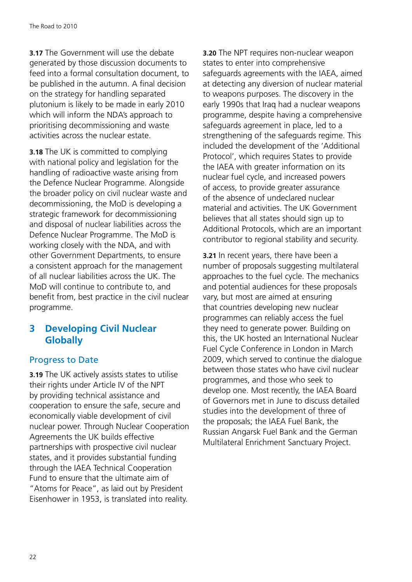**3.17** The Government will use the debate generated by those discussion documents to feed into a formal consultation document, to be published in the autumn. A final decision on the strategy for handling separated plutonium is likely to be made in early 2010 which will inform the NDA's approach to prioritising decommissioning and waste activities across the nuclear estate.

**3.18** The UK is committed to complying with national policy and legislation for the handling of radioactive waste arising from the Defence Nuclear Programme. Alongside the broader policy on civil nuclear waste and decommissioning, the MoD is developing a strategic framework for decommissioning and disposal of nuclear liabilities across the Defence Nuclear Programme. The MoD is working closely with the NDA, and with other Government Departments, to ensure a consistent approach for the management of all nuclear liabilities across the UK. The MoD will continue to contribute to, and benefit from, best practice in the civil nuclear programme.

#### **3 Developing Civil Nuclear Globally**

#### Progress to Date

**3.19** The UK actively assists states to utilise their rights under Article IV of the NPT by providing technical assistance and cooperation to ensure the safe, secure and economically viable development of civil nuclear power. Through Nuclear Cooperation Agreements the UK builds effective partnerships with prospective civil nuclear states, and it provides substantial funding through the IAEA Technical Cooperation Fund to ensure that the ultimate aim of "Atoms for Peace", as laid out by President Eisenhower in 1953, is translated into reality.

**3.20** The NPT requires non-nuclear weapon states to enter into comprehensive safeguards agreements with the IAEA, aimed at detecting any diversion of nuclear material to weapons purposes. The discovery in the early 1990s that Iraq had a nuclear weapons programme, despite having a comprehensive safeguards agreement in place, led to a strengthening of the safeguards regime. This included the development of the 'Additional Protocol', which requires States to provide the IAEA with greater information on its nuclear fuel cycle, and increased powers of access, to provide greater assurance of the absence of undeclared nuclear material and activities. The UK Government believes that all states should sign up to Additional Protocols, which are an important contributor to regional stability and security.

**3.21** In recent years, there have been a number of proposals suggesting multilateral approaches to the fuel cycle. The mechanics and potential audiences for these proposals vary, but most are aimed at ensuring that countries developing new nuclear programmes can reliably access the fuel they need to generate power. Building on this, the UK hosted an International Nuclear Fuel Cycle Conference in London in March 2009, which served to continue the dialogue between those states who have civil nuclear programmes, and those who seek to develop one. Most recently, the IAEA Board of Governors met in June to discuss detailed studies into the development of three of the proposals; the IAEA Fuel Bank, the Russian Angarsk Fuel Bank and the German Multilateral Enrichment Sanctuary Project.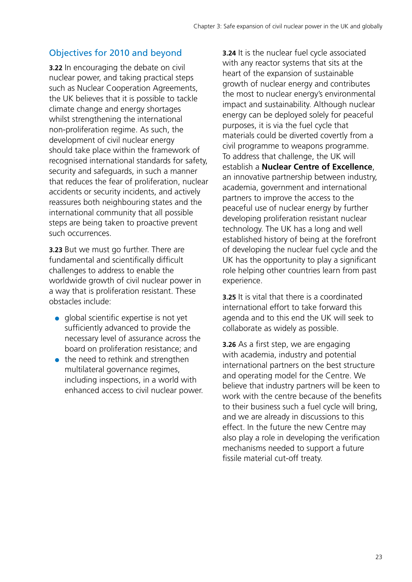#### Objectives for 2010 and beyond

**3.22** In encouraging the debate on civil nuclear power, and taking practical steps such as Nuclear Cooperation Agreements, the UK believes that it is possible to tackle climate change and energy shortages whilst strengthening the international non-proliferation regime. As such, the development of civil nuclear energy should take place within the framework of recognised international standards for safety, security and safeguards, in such a manner that reduces the fear of proliferation, nuclear accidents or security incidents, and actively reassures both neighbouring states and the international community that all possible steps are being taken to proactive prevent such occurrences.

**3.23** But we must go further. There are fundamental and scientifically difficult challenges to address to enable the worldwide growth of civil nuclear power in a way that is proliferation resistant. These obstacles include:

- global scientific expertise is not yet sufficiently advanced to provide the necessary level of assurance across the board on proliferation resistance; and
- $\bullet$  the need to rethink and strengthen multilateral governance regimes, including inspections, in a world with enhanced access to civil nuclear power.

**3.24** It is the nuclear fuel cycle associated with any reactor systems that sits at the heart of the expansion of sustainable growth of nuclear energy and contributes the most to nuclear energy's environmental impact and sustainability. Although nuclear energy can be deployed solely for peaceful purposes, it is via the fuel cycle that materials could be diverted covertly from a civil programme to weapons programme. To address that challenge, the UK will establish a **Nuclear Centre of Excellence**, an innovative partnership between industry, academia, government and international partners to improve the access to the peaceful use of nuclear energy by further developing proliferation resistant nuclear technology. The UK has a long and well established history of being at the forefront of developing the nuclear fuel cycle and the UK has the opportunity to play a significant role helping other countries learn from past experience.

**3.25** It is vital that there is a coordinated international effort to take forward this agenda and to this end the UK will seek to collaborate as widely as possible.

**3.26** As a first step, we are engaging with academia, industry and potential international partners on the best structure and operating model for the Centre. We believe that industry partners will be keen to work with the centre because of the benefits to their business such a fuel cycle will bring, and we are already in discussions to this effect. In the future the new Centre may also play a role in developing the verification mechanisms needed to support a future fissile material cut-off treaty.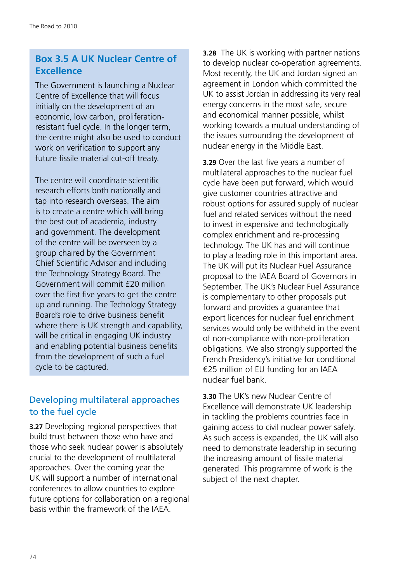#### **Box 3.5 A UK Nuclear Centre of Excellence**

The Government is launching a Nuclear Centre of Excellence that will focus initially on the development of an economic, low carbon, proliferationresistant fuel cycle. In the longer term, the centre might also be used to conduct work on verification to support any future fissile material cut-off treaty.

The centre will coordinate scientific research efforts both nationally and tap into research overseas. The aim is to create a centre which will bring the best out of academia, industry and government. The development of the centre will be overseen by a group chaired by the Government Chief Scientific Advisor and including the Technology Strategy Board. The Government will commit £20 million over the first five years to get the centre up and running. The Techology Strategy Board's role to drive business benefit where there is UK strength and capability, will be critical in engaging UK industry and enabling potential business benefits from the development of such a fuel cycle to be captured.

#### Developing multilateral approaches to the fuel cycle

**3.27** Developing regional perspectives that build trust between those who have and those who seek nuclear power is absolutely crucial to the development of multilateral approaches. Over the coming year the UK will support a number of international conferences to allow countries to explore future options for collaboration on a regional basis within the framework of the IAEA.

**3.28** The UK is working with partner nations to develop nuclear co-operation agreements. Most recently, the UK and Jordan signed an agreement in London which committed the UK to assist Jordan in addressing its very real energy concerns in the most safe, secure and economical manner possible, whilst working towards a mutual understanding of the issues surrounding the development of nuclear energy in the Middle East.

**3.29** Over the last five years a number of multilateral approaches to the nuclear fuel cycle have been put forward, which would give customer countries attractive and robust options for assured supply of nuclear fuel and related services without the need to invest in expensive and technologically complex enrichment and re-processing technology. The UK has and will continue to play a leading role in this important area. The UK will put its Nuclear Fuel Assurance proposal to the IAEA Board of Governors in September. The UK's Nuclear Fuel Assurance is complementary to other proposals put forward and provides a guarantee that export licences for nuclear fuel enrichment services would only be withheld in the event of non-compliance with non-proliferation obligations. We also strongly supported the French Presidency's initiative for conditional €25 million of EU funding for an IAEA nuclear fuel bank.

**3.30** The UK's new Nuclear Centre of Excellence will demonstrate UK leadership in tackling the problems countries face in gaining access to civil nuclear power safely. As such access is expanded, the UK will also need to demonstrate leadership in securing the increasing amount of fissile material generated. This programme of work is the subject of the next chapter.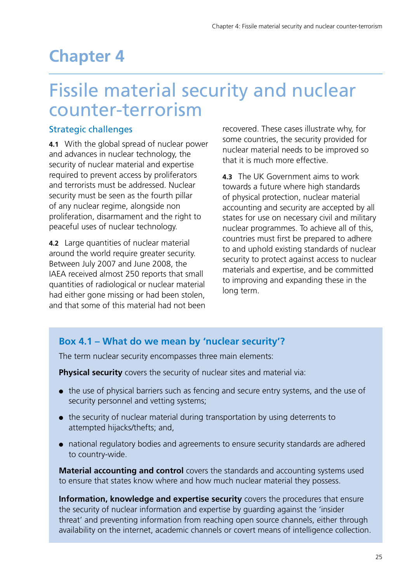## <span id="page-25-0"></span>**Chapter 4**

## Fissile material security and nuclear counter-terrorism

#### Strategic challenges

**4.1** With the global spread of nuclear power and advances in nuclear technology, the security of nuclear material and expertise required to prevent access by proliferators and terrorists must be addressed. Nuclear security must be seen as the fourth pillar of any nuclear regime, alongside non proliferation, disarmament and the right to peaceful uses of nuclear technology.

**4.2** Large quantities of nuclear material around the world require greater security. Between July 2007 and June 2008, the IAEA received almost 250 reports that small quantities of radiological or nuclear material had either gone missing or had been stolen, and that some of this material had not been recovered. These cases illustrate why, for some countries, the security provided for nuclear material needs to be improved so that it is much more effective.

**4.3** The UK Government aims to work towards a future where high standards of physical protection, nuclear material accounting and security are accepted by all states for use on necessary civil and military nuclear programmes. To achieve all of this, countries must first be prepared to adhere to and uphold existing standards of nuclear security to protect against access to nuclear materials and expertise, and be committed to improving and expanding these in the long term.

#### **Box 4.1 – What do we mean by 'nuclear security'?**

The term nuclear security encompasses three main elements:

**Physical security** covers the security of nuclear sites and material via:

- the use of physical barriers such as fencing and secure entry systems, and the use of security personnel and vetting systems;
- the security of nuclear material during transportation by using deterrents to attempted hijacks/thefts; and,
- national regulatory bodies and agreements to ensure security standards are adhered to country-wide.

**Material accounting and control** covers the standards and accounting systems used to ensure that states know where and how much nuclear material they possess.

**Information, knowledge and expertise security** covers the procedures that ensure the security of nuclear information and expertise by guarding against the 'insider threat' and preventing information from reaching open source channels, either through availability on the internet, academic channels or covert means of intelligence collection.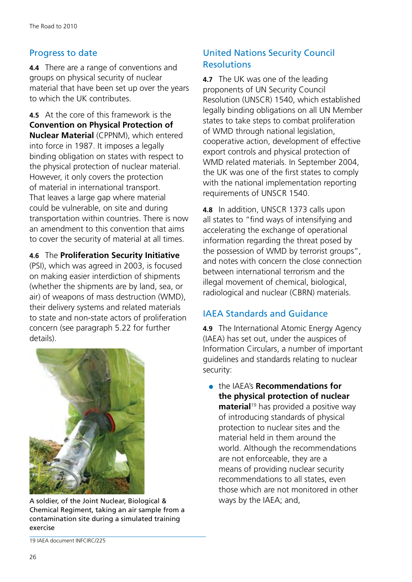#### Progress to date

**4.4** There are a range of conventions and groups on physical security of nuclear material that have been set up over the years to which the UK contributes.

**4.5** At the core of this framework is the **Convention on Physical Protection of Nuclear Material** (CPPNM), which entered into force in 1987. It imposes a legally binding obligation on states with respect to the physical protection of nuclear material. However, it only covers the protection of material in international transport. That leaves a large gap where material could be vulnerable, on site and during transportation within countries. There is now an amendment to this convention that aims to cover the security of material at all times.

**4.6** The **Proliferation Security Initiative**

(PSI), which was agreed in 2003, is focused on making easier interdiction of shipments (whether the shipments are by land, sea, or air) of weapons of mass destruction (WMD), their delivery systems and related materials to state and non-state actors of proliferation concern (see paragraph 5.22 for further details).



A soldier, of the Joint Nuclear, Biological & Chemical Regiment, taking an air sample from a contamination site during a simulated training exercise

#### United Nations Security Council **Resolutions**

**4.7** The UK was one of the leading proponents of UN Security Council Resolution (UNSCR) 1540, which established legally binding obligations on all UN Member states to take steps to combat proliferation of WMD through national legislation, cooperative action, development of effective export controls and physical protection of WMD related materials. In September 2004, the UK was one of the first states to comply with the national implementation reporting requirements of UNSCR 1540.

**4.8** In addition, UNSCR 1373 calls upon all states to "find ways of intensifying and accelerating the exchange of operational information regarding the threat posed by the possession of WMD by terrorist groups", and notes with concern the close connection between international terrorism and the illegal movement of chemical, biological, radiological and nuclear (CBRN) materials.

#### IAEA Standards and Guidance

**4.9** The International Atomic Energy Agency (IAEA) has set out, under the auspices of Information Circulars, a number of important guidelines and standards relating to nuclear security:

●● the IAEA's **Recommendations for the physical protection of nuclear material**<sup>19</sup> has provided a positive way of introducing standards of physical protection to nuclear sites and the material held in them around the world. Although the recommendations are not enforceable, they are a means of providing nuclear security recommendations to all states, even those which are not monitored in other ways by the IAEA; and,

<sup>19</sup> IAEA document INFCIRC/225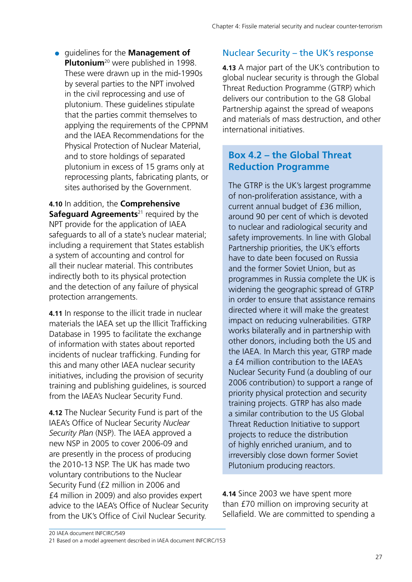●● guidelines for the **Management of Plutonium**20 were published in 1998. These were drawn up in the mid-1990s by several parties to the NPT involved in the civil reprocessing and use of plutonium. These guidelines stipulate that the parties commit themselves to applying the requirements of the CPPNM and the IAEA Recommendations for the Physical Protection of Nuclear Material, and to store holdings of separated plutonium in excess of 15 grams only at reprocessing plants, fabricating plants, or sites authorised by the Government.

**4.10** In addition, the **Comprehensive Safeguard Agreements**<sup>21</sup> required by the NPT provide for the application of IAEA safeguards to all of a state's nuclear material; including a requirement that States establish a system of accounting and control for all their nuclear material. This contributes indirectly both to its physical protection and the detection of any failure of physical protection arrangements.

**4.11** In response to the illicit trade in nuclear materials the IAEA set up the Illicit Trafficking Database in 1995 to facilitate the exchange of information with states about reported incidents of nuclear trafficking. Funding for this and many other IAEA nuclear security initiatives, including the provision of security training and publishing guidelines, is sourced from the IAEA's Nuclear Security Fund.

**4.12** The Nuclear Security Fund is part of the IAEA's Office of Nuclear Security *Nuclear Security Plan* (NSP). The IAEA approved a new NSP in 2005 to cover 2006-09 and are presently in the process of producing the 2010-13 NSP. The UK has made two voluntary contributions to the Nuclear Security Fund (£2 million in 2006 and £4 million in 2009) and also provides expert advice to the IAEA's Office of Nuclear Security from the UK's Office of Civil Nuclear Security.

#### Nuclear Security – the UK's response

**4.13** A major part of the UK's contribution to global nuclear security is through the Global Threat Reduction Programme (GTRP) which delivers our contribution to the G8 Global Partnership against the spread of weapons and materials of mass destruction, and other international initiatives.

#### **Box 4.2 – the Global Threat Reduction Programme**

The GTRP is the UK's largest programme of non-proliferation assistance, with a current annual budget of £36 million, around 90 per cent of which is devoted to nuclear and radiological security and safety improvements. In line with Global Partnership priorities, the UK's efforts have to date been focused on Russia and the former Soviet Union, but as programmes in Russia complete the UK is widening the geographic spread of GTRP in order to ensure that assistance remains directed where it will make the greatest impact on reducing vulnerabilities. GTRP works bilaterally and in partnership with other donors, including both the US and the IAEA. In March this year, GTRP made a £4 million contribution to the IAEA's Nuclear Security Fund (a doubling of our 2006 contribution) to support a range of priority physical protection and security training projects. GTRP has also made a similar contribution to the US Global Threat Reduction Initiative to support projects to reduce the distribution of highly enriched uranium, and to irreversibly close down former Soviet Plutonium producing reactors.

**4.14** Since 2003 we have spent more than £70 million on improving security at Sellafield. We are committed to spending a

<sup>20</sup> IAEA document INFCIRC/549

<sup>21</sup> Based on a model agreement described in IAEA document INFCIRC/153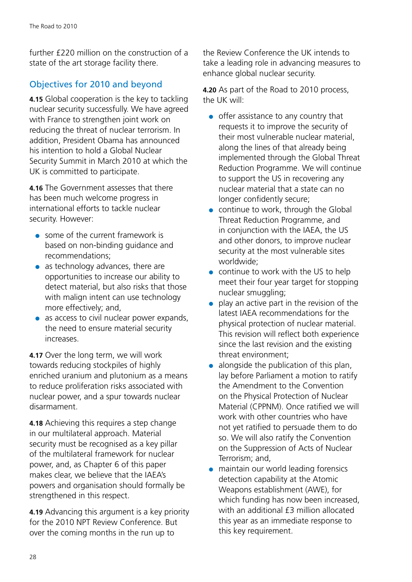further £220 million on the construction of a state of the art storage facility there.

#### Objectives for 2010 and beyond

**4.15** Global cooperation is the key to tackling nuclear security successfully. We have agreed with France to strengthen joint work on reducing the threat of nuclear terrorism. In addition, President Obama has announced his intention to hold a Global Nuclear Security Summit in March 2010 at which the UK is committed to participate.

**4.16** The Government assesses that there has been much welcome progress in international efforts to tackle nuclear security. However:

- $\bullet$  some of the current framework is based on non-binding guidance and recommendations;
- $\bullet$  as technology advances, there are opportunities to increase our ability to detect material, but also risks that those with malign intent can use technology more effectively; and,
- as access to civil nuclear power expands, the need to ensure material security increases.

**4.17** Over the long term, we will work towards reducing stockpiles of highly enriched uranium and plutonium as a means to reduce proliferation risks associated with nuclear power, and a spur towards nuclear disarmament.

**4.18** Achieving this requires a step change in our multilateral approach. Material security must be recognised as a key pillar of the multilateral framework for nuclear power, and, as Chapter 6 of this paper makes clear, we believe that the IAEA's powers and organisation should formally be strengthened in this respect.

**4.19** Advancing this argument is a key priority for the 2010 NPT Review Conference. But over the coming months in the run up to

the Review Conference the UK intends to take a leading role in advancing measures to enhance global nuclear security.

**4.20** As part of the Road to 2010 process, the UK will:

- offer assistance to any country that requests it to improve the security of their most vulnerable nuclear material, along the lines of that already being implemented through the Global Threat Reduction Programme. We will continue to support the US in recovering any nuclear material that a state can no longer confidently secure;
- continue to work, through the Global Threat Reduction Programme, and in conjunction with the IAEA, the US and other donors, to improve nuclear security at the most vulnerable sites worldwide;
- continue to work with the US to help meet their four year target for stopping nuclear smuggling;
- play an active part in the revision of the latest IAEA recommendations for the physical protection of nuclear material. This revision will reflect both experience since the last revision and the existing threat environment;
- alongside the publication of this plan, lay before Parliament a motion to ratify the Amendment to the Convention on the Physical Protection of Nuclear Material (CPPNM). Once ratified we will work with other countries who have not yet ratified to persuade them to do so. We will also ratify the Convention on the Suppression of Acts of Nuclear Terrorism; and,
- maintain our world leading forensics detection capability at the Atomic Weapons establishment (AWE), for which funding has now been increased, with an additional £3 million allocated this year as an immediate response to this key requirement.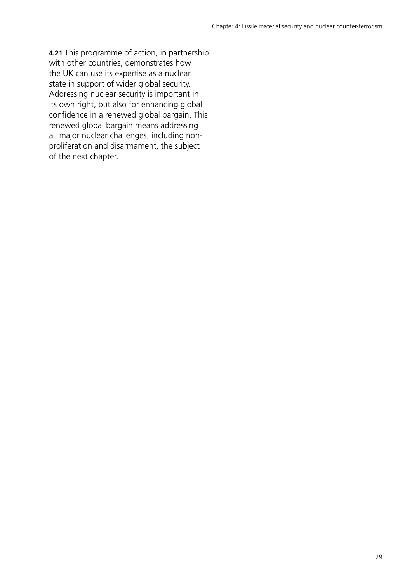**4.21** This programme of action, in partnership with other countries, demonstrates how the UK can use its expertise as a nuclear state in support of wider global security. Addressing nuclear security is important in its own right, but also for enhancing global confidence in a renewed global bargain. This renewed global bargain means addressing all major nuclear challenges, including nonproliferation and disarmament, the subject of the next chapter.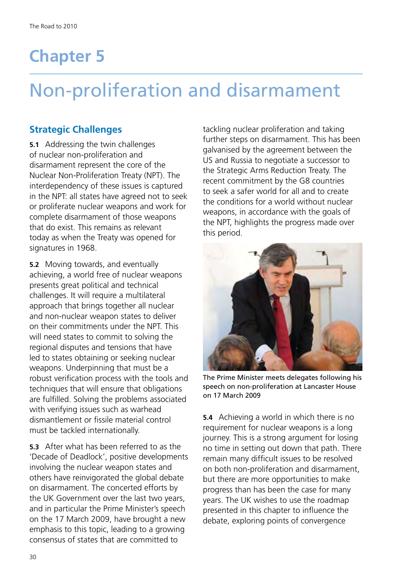# <span id="page-30-0"></span>**Chapter 5**

# Non-proliferation and disarmament

#### **Strategic Challenges**

**5.1** Addressing the twin challenges of nuclear non-proliferation and disarmament represent the core of the Nuclear Non-Proliferation Treaty (NPT). The interdependency of these issues is captured in the NPT: all states have agreed not to seek or proliferate nuclear weapons and work for complete disarmament of those weapons that do exist. This remains as relevant today as when the Treaty was opened for signatures in 1968.

**5.2** Moving towards, and eventually achieving, a world free of nuclear weapons presents great political and technical challenges. It will require a multilateral approach that brings together all nuclear and non-nuclear weapon states to deliver on their commitments under the NPT. This will need states to commit to solving the regional disputes and tensions that have led to states obtaining or seeking nuclear weapons. Underpinning that must be a robust verification process with the tools and techniques that will ensure that obligations are fulfilled. Solving the problems associated with verifying issues such as warhead dismantlement or fissile material control must be tackled internationally.

**5.3** After what has been referred to as the 'Decade of Deadlock', positive developments involving the nuclear weapon states and others have reinvigorated the global debate on disarmament. The concerted efforts by the UK Government over the last two years, and in particular the Prime Minister's speech on the 17 March 2009, have brought a new emphasis to this topic, leading to a growing consensus of states that are committed to

tackling nuclear proliferation and taking further steps on disarmament. This has been galvanised by the agreement between the US and Russia to negotiate a successor to the Strategic Arms Reduction Treaty. The recent commitment by the G8 countries to seek a safer world for all and to create the conditions for a world without nuclear weapons, in accordance with the goals of the NPT, highlights the progress made over this period.



The Prime Minister meets delegates following his speech on non-proliferation at Lancaster House on 17 March 2009

**5.4** Achieving a world in which there is no requirement for nuclear weapons is a long journey. This is a strong argument for losing no time in setting out down that path. There remain many difficult issues to be resolved on both non-proliferation and disarmament, but there are more opportunities to make progress than has been the case for many years. The UK wishes to use the roadmap presented in this chapter to influence the debate, exploring points of convergence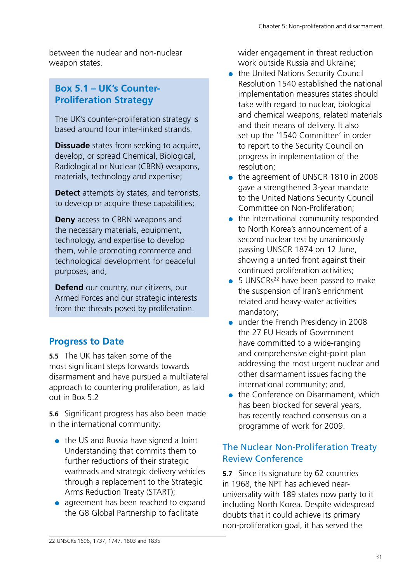between the nuclear and non-nuclear weapon states.

#### **Box 5.1 – UK's Counter-Proliferation Strategy**

The UK's counter-proliferation strategy is based around four inter-linked strands:

**Dissuade** states from seeking to acquire, develop, or spread Chemical, Biological, Radiological or Nuclear (CBRN) weapons, materials, technology and expertise;

**Detect** attempts by states, and terrorists, to develop or acquire these capabilities;

**Deny** access to CBRN weapons and the necessary materials, equipment, technology, and expertise to develop them, while promoting commerce and technological development for peaceful purposes; and,

**Defend** our country, our citizens, our Armed Forces and our strategic interests from the threats posed by proliferation.

#### **Progress to Date**

**5.5** The UK has taken some of the most significant steps forwards towards disarmament and have pursued a multilateral approach to countering proliferation, as laid out in Box 5.2

**5.6** Significant progress has also been made in the international community:

- $\bullet$  the US and Russia have signed a Joint Understanding that commits them to further reductions of their strategic warheads and strategic delivery vehicles through a replacement to the Strategic Arms Reduction Treaty (START);
- agreement has been reached to expand the G8 Global Partnership to facilitate

wider engagement in threat reduction work outside Russia and Ukraine;

- the United Nations Security Council Resolution 1540 established the national implementation measures states should take with regard to nuclear, biological and chemical weapons, related materials and their means of delivery. It also set up the '1540 Committee' in order to report to the Security Council on progress in implementation of the resolution;
- the agreement of UNSCR 1810 in 2008 gave a strengthened 3-year mandate to the United Nations Security Council Committee on Non-Proliferation;
- $\bullet$  the international community responded to North Korea's announcement of a second nuclear test by unanimously passing UNSCR 1874 on 12 June, showing a united front against their continued proliferation activities;
- 5 UNSCRs<sup>22</sup> have been passed to make the suspension of Iran's enrichment related and heavy-water activities mandatory;
- under the French Presidency in 2008 the 27 EU Heads of Government have committed to a wide-ranging and comprehensive eight-point plan addressing the most urgent nuclear and other disarmament issues facing the international community; and,
- the Conference on Disarmament, which has been blocked for several years, has recently reached consensus on a programme of work for 2009.

#### The Nuclear Non-Proliferation Treaty Review Conference

**5.7** Since its signature by 62 countries in 1968, the NPT has achieved nearuniversality with 189 states now party to it including North Korea. Despite widespread doubts that it could achieve its primary non-proliferation goal, it has served the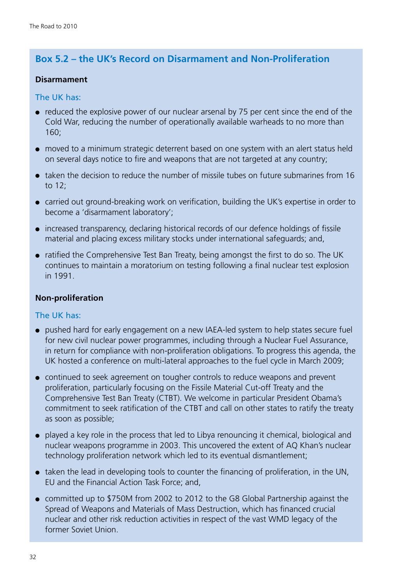#### **Box 5.2 – the UK's Record on Disarmament and Non-Proliferation**

#### **Disarmament**

The UK has:

- reduced the explosive power of our nuclear arsenal by 75 per cent since the end of the Cold War, reducing the number of operationally available warheads to no more than 160;
- moved to a minimum strategic deterrent based on one system with an alert status held on several days notice to fire and weapons that are not targeted at any country;
- taken the decision to reduce the number of missile tubes on future submarines from 16 to 12;
- carried out ground-breaking work on verification, building the UK's expertise in order to become a 'disarmament laboratory';
- increased transparency, declaring historical records of our defence holdings of fissile material and placing excess military stocks under international safeguards; and,
- ratified the Comprehensive Test Ban Treaty, being amongst the first to do so. The UK continues to maintain a moratorium on testing following a final nuclear test explosion in 1991.

#### **Non-proliferation**

#### The UK has:

- ●● pushed hard for early engagement on a new IAEA-led system to help states secure fuel for new civil nuclear power programmes, including through a Nuclear Fuel Assurance, in return for compliance with non-proliferation obligations. To progress this agenda, the UK hosted a conference on multi-lateral approaches to the fuel cycle in March 2009;
- continued to seek agreement on tougher controls to reduce weapons and prevent proliferation, particularly focusing on the Fissile Material Cut-off Treaty and the Comprehensive Test Ban Treaty (CTBT). We welcome in particular President Obama's commitment to seek ratification of the CTBT and call on other states to ratify the treaty as soon as possible;
- ●● played a key role in the process that led to Libya renouncing it chemical, biological and nuclear weapons programme in 2003. This uncovered the extent of AQ Khan's nuclear technology proliferation network which led to its eventual dismantlement;
- taken the lead in developing tools to counter the financing of proliferation, in the UN, EU and the Financial Action Task Force; and,
- committed up to \$750M from 2002 to 2012 to the G8 Global Partnership against the Spread of Weapons and Materials of Mass Destruction, which has financed crucial nuclear and other risk reduction activities in respect of the vast WMD legacy of the former Soviet Union.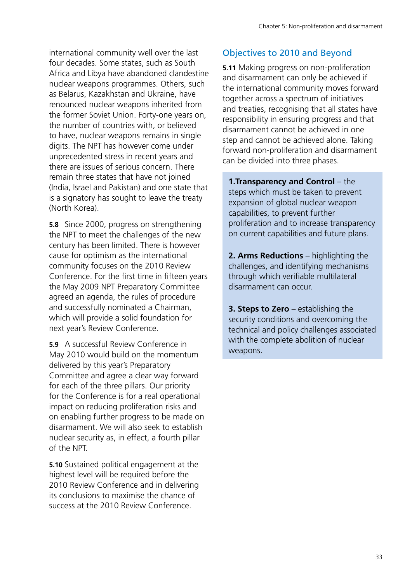international community well over the last four decades. Some states, such as South Africa and Libya have abandoned clandestine nuclear weapons programmes. Others, such as Belarus, Kazakhstan and Ukraine, have renounced nuclear weapons inherited from the former Soviet Union. Forty-one years on, the number of countries with, or believed to have, nuclear weapons remains in single digits. The NPT has however come under unprecedented stress in recent years and there are issues of serious concern. There remain three states that have not joined (India, Israel and Pakistan) and one state that is a signatory has sought to leave the treaty (North Korea).

**5.8** Since 2000, progress on strengthening the NPT to meet the challenges of the new century has been limited. There is however cause for optimism as the international community focuses on the 2010 Review Conference. For the first time in fifteen years the May 2009 NPT Preparatory Committee agreed an agenda, the rules of procedure and successfully nominated a Chairman, which will provide a solid foundation for next year's Review Conference.

**5.9** A successful Review Conference in May 2010 would build on the momentum delivered by this year's Preparatory Committee and agree a clear way forward for each of the three pillars. Our priority for the Conference is for a real operational impact on reducing proliferation risks and on enabling further progress to be made on disarmament. We will also seek to establish nuclear security as, in effect, a fourth pillar of the NPT.

**5.10** Sustained political engagement at the highest level will be required before the 2010 Review Conference and in delivering its conclusions to maximise the chance of success at the 2010 Review Conference.

#### Objectives to 2010 and Beyond

**5.11** Making progress on non-proliferation and disarmament can only be achieved if the international community moves forward together across a spectrum of initiatives and treaties, recognising that all states have responsibility in ensuring progress and that disarmament cannot be achieved in one step and cannot be achieved alone. Taking forward non-proliferation and disarmament can be divided into three phases.

**1.Transparency and Control** – the steps which must be taken to prevent expansion of global nuclear weapon capabilities, to prevent further proliferation and to increase transparency on current capabilities and future plans.

**2. Arms Reductions** – highlighting the challenges, and identifying mechanisms through which verifiable multilateral disarmament can occur.

**3. Steps to Zero** – establishing the security conditions and overcoming the technical and policy challenges associated with the complete abolition of nuclear weapons.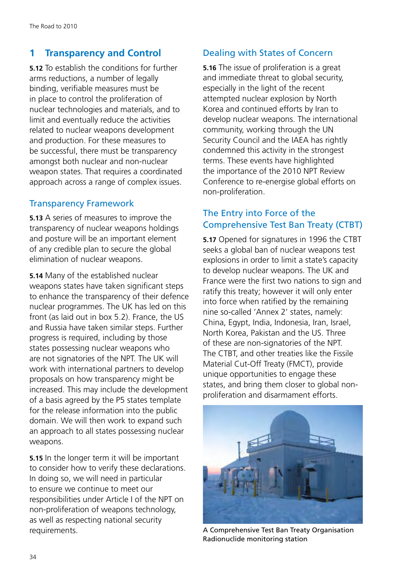#### **1 Transparency and Control**

**5.12** To establish the conditions for further arms reductions, a number of legally binding, verifiable measures must be in place to control the proliferation of nuclear technologies and materials, and to limit and eventually reduce the activities related to nuclear weapons development and production. For these measures to be successful, there must be transparency amongst both nuclear and non-nuclear weapon states. That requires a coordinated approach across a range of complex issues.

#### Transparency Framework

**5.13** A series of measures to improve the transparency of nuclear weapons holdings and posture will be an important element of any credible plan to secure the global elimination of nuclear weapons.

**5.14** Many of the established nuclear weapons states have taken significant steps to enhance the transparency of their defence nuclear programmes. The UK has led on this front (as laid out in box 5.2). France, the US and Russia have taken similar steps. Further progress is required, including by those states possessing nuclear weapons who are not signatories of the NPT. The UK will work with international partners to develop proposals on how transparency might be increased. This may include the development of a basis agreed by the P5 states template for the release information into the public domain. We will then work to expand such an approach to all states possessing nuclear weapons.

**5.15** In the longer term it will be important to consider how to verify these declarations. In doing so, we will need in particular to ensure we continue to meet our responsibilities under Article I of the NPT on non-proliferation of weapons technology, as well as respecting national security requirements.

#### Dealing with States of Concern

**5.16** The issue of proliferation is a great and immediate threat to global security, especially in the light of the recent attempted nuclear explosion by North Korea and continued efforts by Iran to develop nuclear weapons. The international community, working through the UN Security Council and the IAEA has rightly condemned this activity in the strongest terms. These events have highlighted the importance of the 2010 NPT Review Conference to re-energise global efforts on non-proliferation.

#### The Entry into Force of the Comprehensive Test Ban Treaty (CTBT)

**5.17** Opened for signatures in 1996 the CTBT seeks a global ban of nuclear weapons test explosions in order to limit a state's capacity to develop nuclear weapons. The UK and France were the first two nations to sign and ratify this treaty; however it will only enter into force when ratified by the remaining nine so-called 'Annex 2' states, namely: China, Egypt, India, Indonesia, Iran, Israel, North Korea, Pakistan and the US. Three of these are non-signatories of the NPT. The CTBT, and other treaties like the Fissile Material Cut-Off Treaty (FMCT), provide unique opportunities to engage these states, and bring them closer to global nonproliferation and disarmament efforts.



A Comprehensive Test Ban Treaty Organisation Radionuclide monitoring station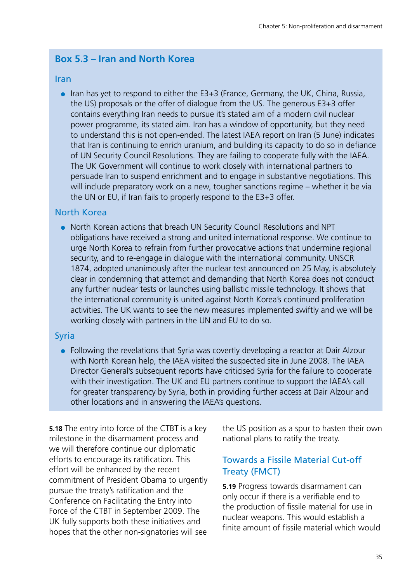#### **Box 5.3 – Iran and North Korea**

#### Iran

 $\bullet$  Iran has yet to respond to either the E3+3 (France, Germany, the UK, China, Russia, the US) proposals or the offer of dialogue from the US. The generous E3+3 offer contains everything Iran needs to pursue it's stated aim of a modern civil nuclear power programme, its stated aim. Iran has a window of opportunity, but they need to understand this is not open-ended. The latest IAEA report on Iran (5 June) indicates that Iran is continuing to enrich uranium, and building its capacity to do so in defiance of UN Security Council Resolutions. They are failing to cooperate fully with the IAEA. The UK Government will continue to work closely with international partners to persuade Iran to suspend enrichment and to engage in substantive negotiations. This will include preparatory work on a new, tougher sanctions regime – whether it be via the UN or EU, if Iran fails to properly respond to the E3+3 offer.

#### North Korea

North Korean actions that breach UN Security Council Resolutions and NPT obligations have received a strong and united international response. We continue to urge North Korea to refrain from further provocative actions that undermine regional security, and to re-engage in dialogue with the international community. UNSCR 1874, adopted unanimously after the nuclear test announced on 25 May, is absolutely clear in condemning that attempt and demanding that North Korea does not conduct any further nuclear tests or launches using ballistic missile technology. It shows that the international community is united against North Korea's continued proliferation activities. The UK wants to see the new measures implemented swiftly and we will be working closely with partners in the UN and EU to do so.

#### Syria

● Following the revelations that Syria was covertly developing a reactor at Dair Alzour with North Korean help, the IAEA visited the suspected site in June 2008. The IAEA Director General's subsequent reports have criticised Syria for the failure to cooperate with their investigation. The UK and EU partners continue to support the IAEA's call for greater transparency by Syria, both in providing further access at Dair Alzour and other locations and in answering the IAEA's questions.

**5.18** The entry into force of the CTBT is a key milestone in the disarmament process and we will therefore continue our diplomatic efforts to encourage its ratification. This effort will be enhanced by the recent commitment of President Obama to urgently pursue the treaty's ratification and the Conference on Facilitating the Entry into Force of the CTBT in September 2009. The UK fully supports both these initiatives and hopes that the other non-signatories will see the US position as a spur to hasten their own national plans to ratify the treaty.

#### Towards a Fissile Material Cut-off Treaty (FMCT)

**5.19** Progress towards disarmament can only occur if there is a verifiable end to the production of fissile material for use in nuclear weapons. This would establish a finite amount of fissile material which would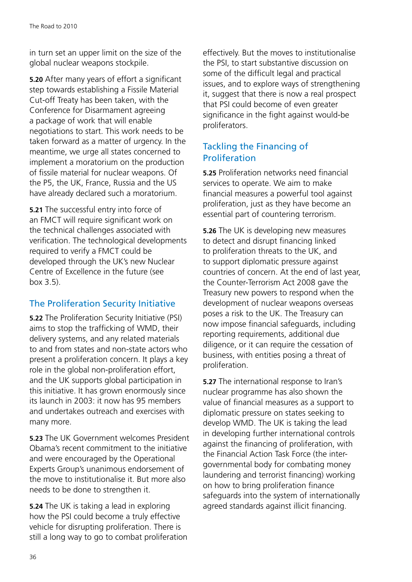in turn set an upper limit on the size of the global nuclear weapons stockpile.

**5.20** After many years of effort a significant step towards establishing a Fissile Material Cut-off Treaty has been taken, with the Conference for Disarmament agreeing a package of work that will enable negotiations to start. This work needs to be taken forward as a matter of urgency. In the meantime, we urge all states concerned to implement a moratorium on the production of fissile material for nuclear weapons. Of the P5, the UK, France, Russia and the US have already declared such a moratorium.

**5.21** The successful entry into force of an FMCT will require significant work on the technical challenges associated with verification. The technological developments required to verify a FMCT could be developed through the UK's new Nuclear Centre of Excellence in the future (see box 3.5).

#### The Proliferation Security Initiative

**5.22** The Proliferation Security Initiative (PSI) aims to stop the trafficking of WMD, their delivery systems, and any related materials to and from states and non-state actors who present a proliferation concern. It plays a key role in the global non-proliferation effort, and the UK supports global participation in this initiative. It has grown enormously since its launch in 2003: it now has 95 members and undertakes outreach and exercises with many more.

**5.23** The UK Government welcomes President Obama's recent commitment to the initiative and were encouraged by the Operational Experts Group's unanimous endorsement of the move to institutionalise it. But more also needs to be done to strengthen it.

**5.24** The UK is taking a lead in exploring how the PSI could become a truly effective vehicle for disrupting proliferation. There is still a long way to go to combat proliferation effectively. But the moves to institutionalise the PSI, to start substantive discussion on some of the difficult legal and practical issues, and to explore ways of strengthening it, suggest that there is now a real prospect that PSI could become of even greater significance in the fight against would-be proliferators.

#### Tackling the Financing of Proliferation

**5.25** Proliferation networks need financial services to operate. We aim to make financial measures a powerful tool against proliferation, just as they have become an essential part of countering terrorism.

**5.26** The UK is developing new measures to detect and disrupt financing linked to proliferation threats to the UK, and to support diplomatic pressure against countries of concern. At the end of last year, the Counter-Terrorism Act 2008 gave the Treasury new powers to respond when the development of nuclear weapons overseas poses a risk to the UK. The Treasury can now impose financial safeguards, including reporting requirements, additional due diligence, or it can require the cessation of business, with entities posing a threat of proliferation.

**5.27** The international response to Iran's nuclear programme has also shown the value of financial measures as a support to diplomatic pressure on states seeking to develop WMD. The UK is taking the lead in developing further international controls against the financing of proliferation, with the Financial Action Task Force (the intergovernmental body for combating money laundering and terrorist financing) working on how to bring proliferation finance safeguards into the system of internationally agreed standards against illicit financing.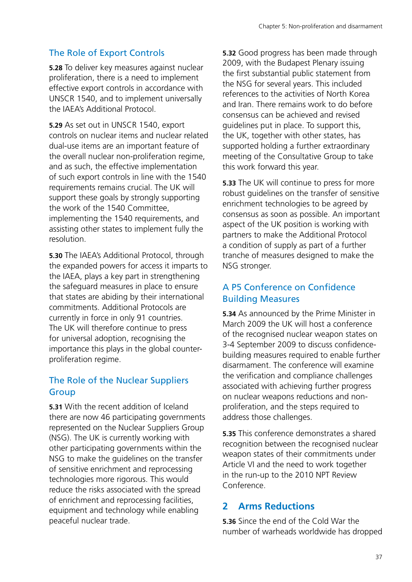#### The Role of Export Controls

**5.28** To deliver key measures against nuclear proliferation, there is a need to implement effective export controls in accordance with UNSCR 1540, and to implement universally the IAEA's Additional Protocol.

**5.29** As set out in UNSCR 1540, export controls on nuclear items and nuclear related dual-use items are an important feature of the overall nuclear non-proliferation regime, and as such, the effective implementation of such export controls in line with the 1540 requirements remains crucial. The UK will support these goals by strongly supporting the work of the 1540 Committee, implementing the 1540 requirements, and assisting other states to implement fully the resolution.

**5.30** The IAEA's Additional Protocol, through the expanded powers for access it imparts to the IAEA, plays a key part in strengthening the safeguard measures in place to ensure that states are abiding by their international commitments. Additional Protocols are currently in force in only 91 countries. The UK will therefore continue to press for universal adoption, recognising the importance this plays in the global counterproliferation regime.

#### The Role of the Nuclear Suppliers **Group**

**5.31** With the recent addition of Iceland there are now 46 participating governments represented on the Nuclear Suppliers Group (NSG). The UK is currently working with other participating governments within the NSG to make the guidelines on the transfer of sensitive enrichment and reprocessing technologies more rigorous. This would reduce the risks associated with the spread of enrichment and reprocessing facilities, equipment and technology while enabling peaceful nuclear trade.

**5.32** Good progress has been made through 2009, with the Budapest Plenary issuing the first substantial public statement from the NSG for several years. This included references to the activities of North Korea and Iran. There remains work to do before consensus can be achieved and revised guidelines put in place. To support this, the UK, together with other states, has supported holding a further extraordinary meeting of the Consultative Group to take this work forward this year.

**5.33** The UK will continue to press for more robust guidelines on the transfer of sensitive enrichment technologies to be agreed by consensus as soon as possible. An important aspect of the UK position is working with partners to make the Additional Protocol a condition of supply as part of a further tranche of measures designed to make the NSG stronger.

#### A P5 Conference on Confidence Building Measures

**5.34** As announced by the Prime Minister in March 2009 the UK will host a conference of the recognised nuclear weapon states on 3-4 September 2009 to discuss confidencebuilding measures required to enable further disarmament. The conference will examine the verification and compliance challenges associated with achieving further progress on nuclear weapons reductions and nonproliferation, and the steps required to address those challenges.

**5.35** This conference demonstrates a shared recognition between the recognised nuclear weapon states of their commitments under Article VI and the need to work together in the run-up to the 2010 NPT Review Conference.

#### **2 Arms Reductions**

**5.36** Since the end of the Cold War the number of warheads worldwide has dropped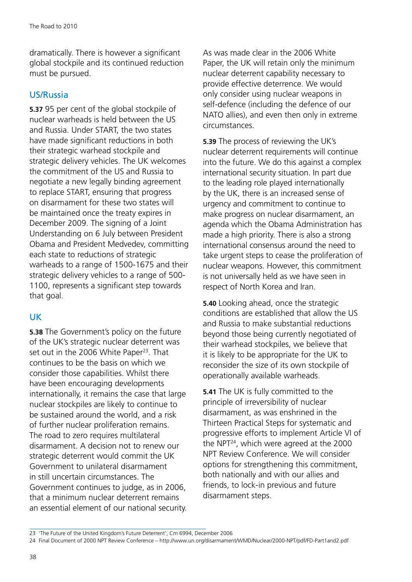dramatically. There is however a significant global stockpile and its continued reduction must be pursued.

#### US/Russia

**5.37** 95 per cent of the global stockpile of nuclear warheads is held between the US and Russia. Under START, the two states have made significant reductions in both their strategic warhead stockpile and strategic delivery vehicles. The UK welcomes the commitment of the US and Russia to negotiate a new legally binding agreement to replace START, ensuring that progress on disarmament for these two states will be maintained once the treaty expires in December 2009. The signing of a Joint Understanding on 6 July between President Obama and President Medvedev, committing each state to reductions of strategic warheads to a range of 1500-1675 and their strategic delivery vehicles to a range of 500- 1100, represents a significant step towards that goal.

#### UK

**5.38** The Government's policy on the future of the UK's strategic nuclear deterrent was set out in the 2006 White Paper<sup>23</sup>. That continues to be the basis on which we consider those capabilities. Whilst there have been encouraging developments internationally, it remains the case that large nuclear stockpiles are likely to continue to be sustained around the world, and a risk of further nuclear proliferation remains. The road to zero requires multilateral disarmament. A decision not to renew our strategic deterrent would commit the UK Government to unilateral disarmament in still uncertain circumstances. The Government continues to judge, as in 2006, that a minimum nuclear deterrent remains an essential element of our national security. As was made clear in the 2006 White Paper, the UK will retain only the minimum nuclear deterrent capability necessary to provide effective deterrence. We would only consider using nuclear weapons in self-defence (including the defence of our NATO allies), and even then only in extreme circumstances.

**5.39** The process of reviewing the UK's nuclear deterrent requirements will continue into the future. We do this against a complex international security situation. In part due to the leading role played internationally by the UK, there is an increased sense of urgency and commitment to continue to make progress on nuclear disarmament, an agenda which the Obama Administration has made a high priority. There is also a strong international consensus around the need to take urgent steps to cease the proliferation of nuclear weapons. However, this commitment is not universally held as we have seen in respect of North Korea and Iran.

**5.40** Looking ahead, once the strategic conditions are established that allow the US and Russia to make substantial reductions beyond those being currently negotiated of their warhead stockpiles, we believe that it is likely to be appropriate for the UK to reconsider the size of its own stockpile of operationally available warheads.

**5.41** The UK is fully committed to the principle of irreversibility of nuclear disarmament, as was enshrined in the Thirteen Practical Steps for systematic and progressive efforts to implement Article VI of the NPT24, which were agreed at the 2000 NPT Review Conference. We will consider options for strengthening this commitment, both nationally and with our allies and friends, to lock-in previous and future disarmament steps.

<sup>23 &#</sup>x27;The Future of the United Kingdom's Future Deterrent', Cm 6994, December 2006

<sup>24</sup> Final Document of 2000 NPT Review Conference – <http://www.un.org/disarmament/WMD/Nuclear/2000-NPT/pdf/FD-Part1and2.pdf>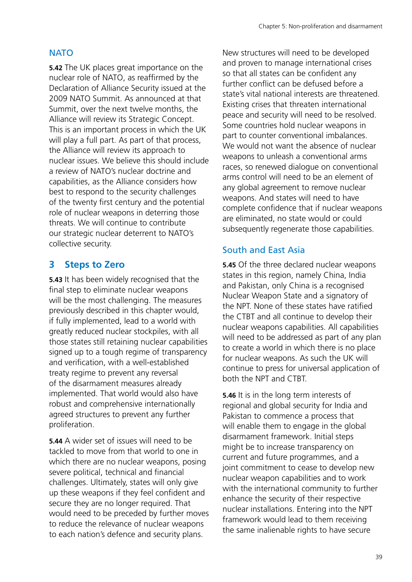#### **NATO**

**5.42** The UK places great importance on the nuclear role of NATO, as reaffirmed by the Declaration of Alliance Security issued at the 2009 NATO Summit. As announced at that Summit, over the next twelve months, the Alliance will review its Strategic Concept. This is an important process in which the UK will play a full part. As part of that process, the Alliance will review its approach to nuclear issues. We believe this should include a review of NATO's nuclear doctrine and capabilities, as the Alliance considers how best to respond to the security challenges of the twenty first century and the potential role of nuclear weapons in deterring those threats. We will continue to contribute our strategic nuclear deterrent to NATO's collective security.

#### **3 Steps to Zero**

**5.43** It has been widely recognised that the final step to eliminate nuclear weapons will be the most challenging. The measures previously described in this chapter would, if fully implemented, lead to a world with greatly reduced nuclear stockpiles, with all those states still retaining nuclear capabilities signed up to a tough regime of transparency and verification, with a well-established treaty regime to prevent any reversal of the disarmament measures already implemented. That world would also have robust and comprehensive internationally agreed structures to prevent any further proliferation.

**5.44** A wider set of issues will need to be tackled to move from that world to one in which there are no nuclear weapons, posing severe political, technical and financial challenges. Ultimately, states will only give up these weapons if they feel confident and secure they are no longer required. That would need to be preceded by further moves to reduce the relevance of nuclear weapons to each nation's defence and security plans.

New structures will need to be developed and proven to manage international crises so that all states can be confident any further conflict can be defused before a state's vital national interests are threatened. Existing crises that threaten international peace and security will need to be resolved. Some countries hold nuclear weapons in part to counter conventional imbalances. We would not want the absence of nuclear weapons to unleash a conventional arms races, so renewed dialogue on conventional arms control will need to be an element of any global agreement to remove nuclear weapons. And states will need to have complete confidence that if nuclear weapons are eliminated, no state would or could subsequently regenerate those capabilities.

#### South and East Asia

**5.45** Of the three declared nuclear weapons states in this region, namely China, India and Pakistan, only China is a recognised Nuclear Weapon State and a signatory of the NPT. None of these states have ratified the CTBT and all continue to develop their nuclear weapons capabilities. All capabilities will need to be addressed as part of any plan to create a world in which there is no place for nuclear weapons. As such the UK will continue to press for universal application of both the NPT and CTBT.

**5.46** It is in the long term interests of regional and global security for India and Pakistan to commence a process that will enable them to engage in the global disarmament framework. Initial steps might be to increase transparency on current and future programmes, and a joint commitment to cease to develop new nuclear weapon capabilities and to work with the international community to further enhance the security of their respective nuclear installations. Entering into the NPT framework would lead to them receiving the same inalienable rights to have secure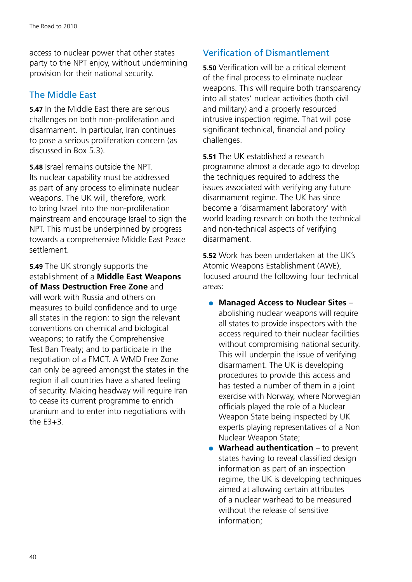access to nuclear power that other states party to the NPT enjoy, without undermining provision for their national security.

#### The Middle East

**5.47** In the Middle East there are serious challenges on both non-proliferation and disarmament. In particular, Iran continues to pose a serious proliferation concern (as discussed in Box 5.3).

**5.48** Israel remains outside the NPT. Its nuclear capability must be addressed as part of any process to eliminate nuclear weapons. The UK will, therefore, work to bring Israel into the non-proliferation mainstream and encourage Israel to sign the NPT. This must be underpinned by progress towards a comprehensive Middle East Peace settlement.

**5.49** The UK strongly supports the establishment of a **Middle East Weapons of Mass Destruction Free Zone** and will work with Russia and others on measures to build confidence and to urge all states in the region: to sign the relevant conventions on chemical and biological weapons; to ratify the Comprehensive Test Ban Treaty; and to participate in the negotiation of a FMCT. A WMD Free Zone can only be agreed amongst the states in the region if all countries have a shared feeling of security. Making headway will require Iran to cease its current programme to enrich uranium and to enter into negotiations with the  $F3+3$ .

#### Verification of Dismantlement

**5.50** Verification will be a critical element of the final process to eliminate nuclear weapons. This will require both transparency into all states' nuclear activities (both civil and military) and a properly resourced intrusive inspection regime. That will pose significant technical, financial and policy challenges.

**5.51** The UK established a research programme almost a decade ago to develop the techniques required to address the issues associated with verifying any future disarmament regime. The UK has since become a 'disarmament laboratory' with world leading research on both the technical and non-technical aspects of verifying disarmament.

**5.52** Work has been undertaken at the UK's Atomic Weapons Establishment (AWE), focused around the following four technical areas:

- ●● **Managed Access to Nuclear Sites** abolishing nuclear weapons will require all states to provide inspectors with the access required to their nuclear facilities without compromising national security. This will underpin the issue of verifying disarmament. The UK is developing procedures to provide this access and has tested a number of them in a joint exercise with Norway, where Norwegian officials played the role of a Nuclear Weapon State being inspected by UK experts playing representatives of a Non Nuclear Weapon State;
- **Warhead authentication** to prevent states having to reveal classified design information as part of an inspection regime, the UK is developing techniques aimed at allowing certain attributes of a nuclear warhead to be measured without the release of sensitive information;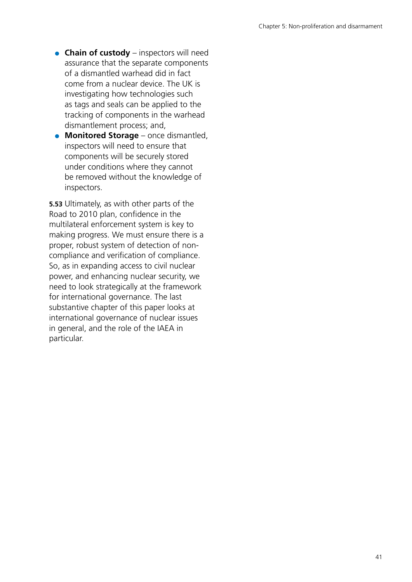- **Chain of custody** inspectors will need assurance that the separate components of a dismantled warhead did in fact come from a nuclear device. The UK is investigating how technologies such as tags and seals can be applied to the tracking of components in the warhead dismantlement process; and,
- **Monitored Storage** once dismantled, inspectors will need to ensure that components will be securely stored under conditions where they cannot be removed without the knowledge of inspectors.

**5.53** Ultimately, as with other parts of the Road to 2010 plan, confidence in the multilateral enforcement system is key to making progress. We must ensure there is a proper, robust system of detection of noncompliance and verification of compliance. So, as in expanding access to civil nuclear power, and enhancing nuclear security, we need to look strategically at the framework for international governance. The last substantive chapter of this paper looks at international governance of nuclear issues in general, and the role of the IAEA in particular.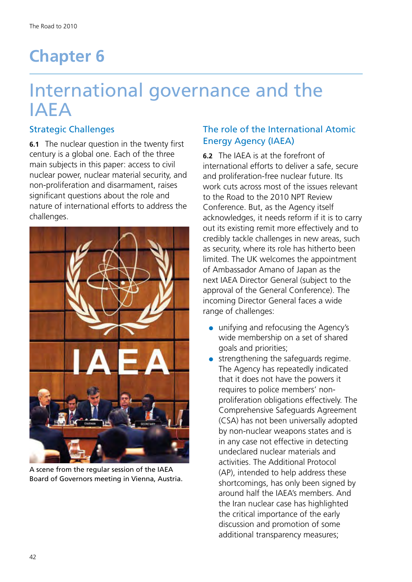# <span id="page-42-0"></span>**Chapter 6**

# International governance and the IAEA

#### Strategic Challenges

**6.1** The nuclear question in the twenty first century is a global one. Each of the three main subjects in this paper: access to civil nuclear power, nuclear material security, and non-proliferation and disarmament, raises significant questions about the role and nature of international efforts to address the challenges.



A scene from the regular session of the IAEA Board of Governors meeting in Vienna, Austria.

#### The role of the International Atomic Energy Agency (IAEA)

**6.2** The IAEA is at the forefront of international efforts to deliver a safe, secure and proliferation-free nuclear future. Its work cuts across most of the issues relevant to the Road to the 2010 NPT Review Conference. But, as the Agency itself acknowledges, it needs reform if it is to carry out its existing remit more effectively and to credibly tackle challenges in new areas, such as security, where its role has hitherto been limited. The UK welcomes the appointment of Ambassador Amano of Japan as the next IAEA Director General (subject to the approval of the General Conference). The incoming Director General faces a wide range of challenges:

- unifying and refocusing the Agency's wide membership on a set of shared goals and priorities;
- strengthening the safeguards regime. The Agency has repeatedly indicated that it does not have the powers it requires to police members' nonproliferation obligations effectively. The Comprehensive Safeguards Agreement (CSA) has not been universally adopted by non-nuclear weapons states and is in any case not effective in detecting undeclared nuclear materials and activities. The Additional Protocol (AP), intended to help address these shortcomings, has only been signed by around half the IAEA's members. And the Iran nuclear case has highlighted the critical importance of the early discussion and promotion of some additional transparency measures;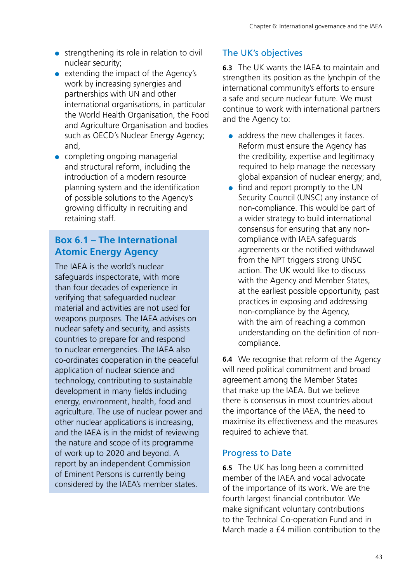- strengthening its role in relation to civil nuclear security;
- extending the impact of the Agency's work by increasing synergies and partnerships with UN and other international organisations, in particular the World Health Organisation, the Food and Agriculture Organisation and bodies such as OECD's Nuclear Energy Agency; and,
- completing ongoing managerial and structural reform, including the introduction of a modern resource planning system and the identification of possible solutions to the Agency's growing difficulty in recruiting and retaining staff.

#### **Box 6.1 – The International Atomic Energy Agency**

The IAEA is the world's nuclear safeguards inspectorate, with more than four decades of experience in verifying that safeguarded nuclear material and activities are not used for weapons purposes. The IAEA advises on nuclear safety and security, and assists countries to prepare for and respond to nuclear emergencies. The IAEA also co-ordinates cooperation in the peaceful application of nuclear science and technology, contributing to sustainable development in many fields including energy, environment, health, food and agriculture. The use of nuclear power and other nuclear applications is increasing, and the IAEA is in the midst of reviewing the nature and scope of its programme of work up to 2020 and beyond. A report by an independent Commission of Eminent Persons is currently being considered by the IAEA's member states.

#### The UK's objectives

**6.3** The UK wants the IAEA to maintain and strengthen its position as the lynchpin of the international community's efforts to ensure a safe and secure nuclear future. We must continue to work with international partners and the Agency to:

- address the new challenges it faces. Reform must ensure the Agency has the credibility, expertise and legitimacy required to help manage the necessary global expansion of nuclear energy; and,
- find and report promptly to the UN Security Council (UNSC) any instance of non-compliance. This would be part of a wider strategy to build international consensus for ensuring that any noncompliance with IAEA safeguards agreements or the notified withdrawal from the NPT triggers strong UNSC action. The UK would like to discuss with the Agency and Member States, at the earliest possible opportunity, past practices in exposing and addressing non-compliance by the Agency, with the aim of reaching a common understanding on the definition of noncompliance.

**6.4** We recognise that reform of the Agency will need political commitment and broad agreement among the Member States that make up the IAEA. But we believe there is consensus in most countries about the importance of the IAEA, the need to maximise its effectiveness and the measures required to achieve that.

#### Progress to Date

**6.5** The UK has long been a committed member of the IAEA and vocal advocate of the importance of its work. We are the fourth largest financial contributor. We make significant voluntary contributions to the Technical Co-operation Fund and in March made a  $f$ 4 million contribution to the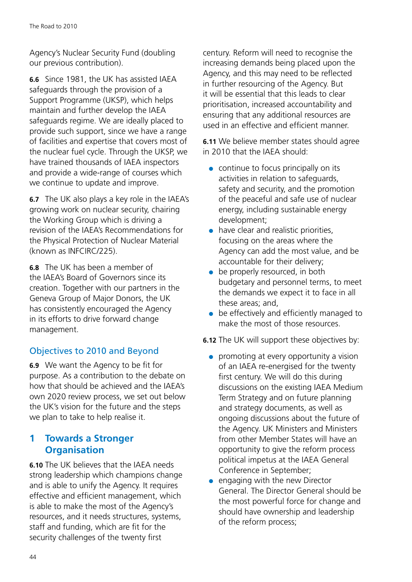Agency's Nuclear Security Fund (doubling our previous contribution).

**6.6** Since 1981, the UK has assisted IAEA safeguards through the provision of a Support Programme (UKSP), which helps maintain and further develop the IAEA safeguards regime. We are ideally placed to provide such support, since we have a range of facilities and expertise that covers most of the nuclear fuel cycle. Through the UKSP, we have trained thousands of IAEA inspectors and provide a wide-range of courses which we continue to update and improve.

**6.7** The UK also plays a key role in the IAEA's growing work on nuclear security, chairing the Working Group which is driving a revision of the IAEA's Recommendations for the Physical Protection of Nuclear Material (known as INFCIRC/225).

**6.8** The UK has been a member of the IAEA's Board of Governors since its creation. Together with our partners in the Geneva Group of Major Donors, the UK has consistently encouraged the Agency in its efforts to drive forward change management.

#### Objectives to 2010 and Beyond

**6.9** We want the Agency to be fit for purpose. As a contribution to the debate on how that should be achieved and the IAEA's own 2020 review process, we set out below the UK's vision for the future and the steps we plan to take to help realise it.

#### **1 Towards a Stronger Organisation**

**6.10** The UK believes that the IAEA needs strong leadership which champions change and is able to unify the Agency. It requires effective and efficient management, which is able to make the most of the Agency's resources, and it needs structures, systems, staff and funding, which are fit for the security challenges of the twenty first

century. Reform will need to recognise the increasing demands being placed upon the Agency, and this may need to be reflected in further resourcing of the Agency. But it will be essential that this leads to clear prioritisation, increased accountability and ensuring that any additional resources are used in an effective and efficient manner.

**6.11** We believe member states should agree in 2010 that the IAEA should:

- continue to focus principally on its activities in relation to safeguards, safety and security, and the promotion of the peaceful and safe use of nuclear energy, including sustainable energy development;
- have clear and realistic priorities, focusing on the areas where the Agency can add the most value, and be accountable for their delivery;
- be properly resourced, in both budgetary and personnel terms, to meet the demands we expect it to face in all these areas; and,
- be effectively and efficiently managed to make the most of those resources.

**6.12** The UK will support these objectives by:

- promoting at every opportunity a vision of an IAEA re-energised for the twenty first century. We will do this during discussions on the existing IAEA Medium Term Strategy and on future planning and strategy documents, as well as ongoing discussions about the future of the Agency. UK Ministers and Ministers from other Member States will have an opportunity to give the reform process political impetus at the IAEA General Conference in September;
- engaging with the new Director General. The Director General should be the most powerful force for change and should have ownership and leadership of the reform process;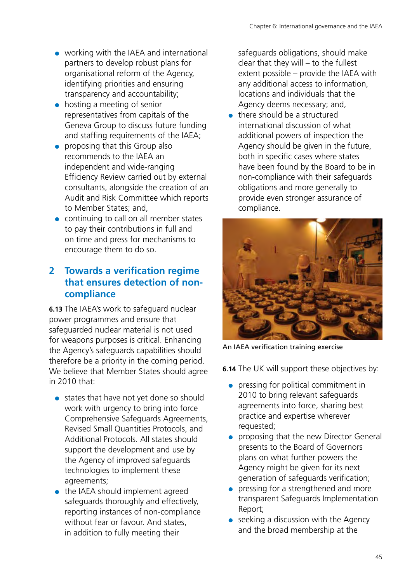- working with the IAEA and international partners to develop robust plans for organisational reform of the Agency, identifying priorities and ensuring transparency and accountability;
- hosting a meeting of senior representatives from capitals of the Geneva Group to discuss future funding and staffing requirements of the IAEA;
- proposing that this Group also recommends to the IAEA an independent and wide-ranging Efficiency Review carried out by external consultants, alongside the creation of an Audit and Risk Committee which reports to Member States; and,
- continuing to call on all member states to pay their contributions in full and on time and press for mechanisms to encourage them to do so.

#### **2 Towards a verification regime that ensures detection of noncompliance**

**6.13** The IAEA's work to safeguard nuclear power programmes and ensure that safeguarded nuclear material is not used for weapons purposes is critical. Enhancing the Agency's safeguards capabilities should therefore be a priority in the coming period. We believe that Member States should agree in 2010 that:

- states that have not yet done so should work with urgency to bring into force Comprehensive Safeguards Agreements, Revised Small Quantities Protocols, and Additional Protocols. All states should support the development and use by the Agency of improved safeguards technologies to implement these agreements;
- the IAEA should implement agreed safeguards thoroughly and effectively, reporting instances of non-compliance without fear or favour. And states, in addition to fully meeting their

safeguards obligations, should make clear that they will – to the fullest extent possible – provide the IAEA with any additional access to information, locations and individuals that the Agency deems necessary; and,

 $\bullet$  there should be a structured international discussion of what additional powers of inspection the Agency should be given in the future, both in specific cases where states have been found by the Board to be in non-compliance with their safeguards obligations and more generally to provide even stronger assurance of compliance.



An IAEA verification training exercise

**6.14** The UK will support these objectives by:

- pressing for political commitment in 2010 to bring relevant safeguards agreements into force, sharing best practice and expertise wherever requested;
- proposing that the new Director General presents to the Board of Governors plans on what further powers the Agency might be given for its next generation of safeguards verification;
- pressing for a strengthened and more transparent Safeguards Implementation Report;
- $\bullet$  seeking a discussion with the Agency and the broad membership at the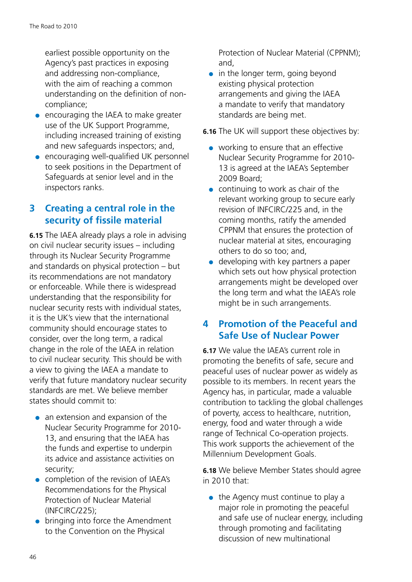earliest possible opportunity on the Agency's past practices in exposing and addressing non-compliance, with the aim of reaching a common understanding on the definition of noncompliance;

- encouraging the IAEA to make greater use of the UK Support Programme, including increased training of existing and new safeguards inspectors; and,
- encouraging well-qualified UK personnel to seek positions in the Department of Safeguards at senior level and in the inspectors ranks.

#### **3 Creating a central role in the security of fissile material**

**6.15** The IAEA already plays a role in advising on civil nuclear security issues – including through its Nuclear Security Programme and standards on physical protection – but its recommendations are not mandatory or enforceable. While there is widespread understanding that the responsibility for nuclear security rests with individual states, it is the UK's view that the international community should encourage states to consider, over the long term, a radical change in the role of the IAEA in relation to civil nuclear security. This should be with a view to giving the IAEA a mandate to verify that future mandatory nuclear security standards are met. We believe member states should commit to:

- an extension and expansion of the Nuclear Security Programme for 2010- 13, and ensuring that the IAEA has the funds and expertise to underpin its advice and assistance activities on security;
- completion of the revision of IAEA's Recommendations for the Physical Protection of Nuclear Material (INFCIRC/225);
- bringing into force the Amendment to the Convention on the Physical

Protection of Nuclear Material (CPPNM); and,

 $\bullet$  in the longer term, going beyond existing physical protection arrangements and giving the IAEA a mandate to verify that mandatory standards are being met.

**6.16** The UK will support these objectives by:

- working to ensure that an effective Nuclear Security Programme for 2010- 13 is agreed at the IAEA's September 2009 Board;
- continuing to work as chair of the relevant working group to secure early revision of INFCIRC/225 and, in the coming months, ratify the amended CPPNM that ensures the protection of nuclear material at sites, encouraging others to do so too; and,
- $\bullet$  developing with key partners a paper which sets out how physical protection arrangements might be developed over the long term and what the IAEA's role might be in such arrangements.

#### **4 Promotion of the Peaceful and Safe Use of Nuclear Power**

**6.17** We value the IAEA's current role in promoting the benefits of safe, secure and peaceful uses of nuclear power as widely as possible to its members. In recent years the Agency has, in particular, made a valuable contribution to tackling the global challenges of poverty, access to healthcare, nutrition, energy, food and water through a wide range of Technical Co-operation projects. This work supports the achievement of the Millennium Development Goals.

**6.18** We believe Member States should agree in 2010 that:

 $\bullet$  the Agency must continue to play a major role in promoting the peaceful and safe use of nuclear energy, including through promoting and facilitating discussion of new multinational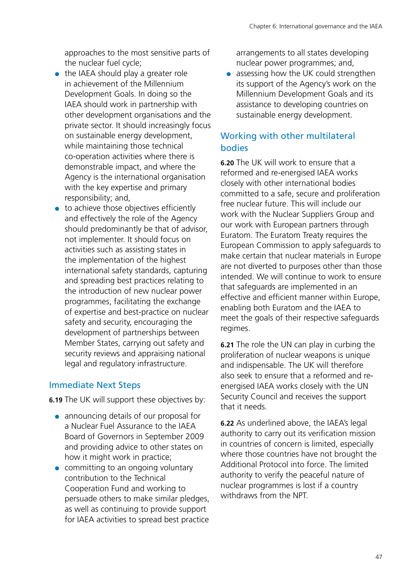approaches to the most sensitive parts of the nuclear fuel cycle;

- the IAEA should play a greater role in achievement of the Millennium Development Goals. In doing so the IAEA should work in partnership with other development organisations and the private sector. It should increasingly focus on sustainable energy development, while maintaining those technical co-operation activities where there is demonstrable impact, and where the Agency is the international organisation with the key expertise and primary responsibility; and,
- to achieve those objectives efficiently and effectively the role of the Agency should predominantly be that of advisor, not implementer. It should focus on activities such as assisting states in the implementation of the highest international safety standards, capturing and spreading best practices relating to the introduction of new nuclear power programmes, facilitating the exchange of expertise and best-practice on nuclear safety and security, encouraging the development of partnerships between Member States, carrying out safety and security reviews and appraising national legal and regulatory infrastructure.

#### Immediate Next Steps

**6.19** The UK will support these objectives by:

- announcing details of our proposal for a Nuclear Fuel Assurance to the IAEA Board of Governors in September 2009 and providing advice to other states on how it might work in practice;
- committing to an ongoing voluntary contribution to the Technical Cooperation Fund and working to persuade others to make similar pledges, as well as continuing to provide support for IAEA activities to spread best practice

arrangements to all states developing nuclear power programmes; and,

● assessing how the UK could strengthen its support of the Agency's work on the Millennium Development Goals and its assistance to developing countries on sustainable energy development.

#### Working with other multilateral bodies

**6.20** The UK will work to ensure that a reformed and re-energised IAEA works closely with other international bodies committed to a safe, secure and proliferation free nuclear future. This will include our work with the Nuclear Suppliers Group and our work with European partners through Euratom. The Euratom Treaty requires the European Commission to apply safeguards to make certain that nuclear materials in Europe are not diverted to purposes other than those intended. We will continue to work to ensure that safeguards are implemented in an effective and efficient manner within Europe, enabling both Euratom and the IAEA to meet the goals of their respective safeguards regimes.

**6.21** The role the UN can play in curbing the proliferation of nuclear weapons is unique and indispensable. The UK will therefore also seek to ensure that a reformed and reenergised IAEA works closely with the UN Security Council and receives the support that it needs.

**6.22** As underlined above, the IAEA's legal authority to carry out its verification mission in countries of concern is limited, especially where those countries have not brought the Additional Protocol into force. The limited authority to verify the peaceful nature of nuclear programmes is lost if a country withdraws from the NPT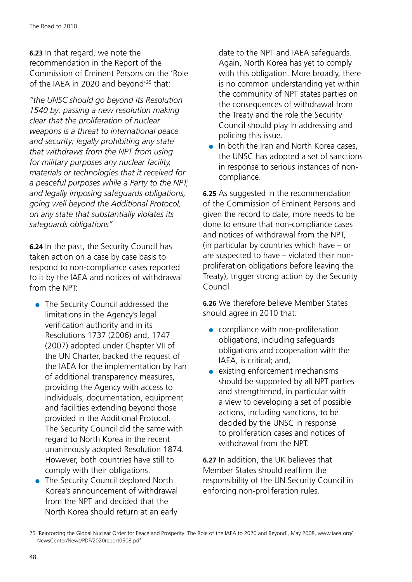**6.23** In that regard, we note the recommendation in the Report of the Commission of Eminent Persons on the 'Role of the IAEA in 2020 and beyond'25 that:

*"the UNSC should go beyond its Resolution 1540 by: passing a new resolution making clear that the proliferation of nuclear weapons is a threat to international peace and security; legally prohibiting any state that withdraws from the NPT from using for military purposes any nuclear facility, materials or technologies that it received for a peaceful purposes while a Party to the NPT; and legally imposing safeguards obligations, going well beyond the Additional Protocol, on any state that substantially violates its safeguards obligations"*

**6.24** In the past, the Security Council has taken action on a case by case basis to respond to non-compliance cases reported to it by the IAEA and notices of withdrawal from the NPT:

- The Security Council addressed the limitations in the Agency's legal verification authority and in its Resolutions 1737 (2006) and, 1747 (2007) adopted under Chapter VII of the UN Charter, backed the request of the IAEA for the implementation by Iran of additional transparency measures, providing the Agency with access to individuals, documentation, equipment and facilities extending beyond those provided in the Additional Protocol. The Security Council did the same with regard to North Korea in the recent unanimously adopted Resolution 1874. However, both countries have still to comply with their obligations.
- The Security Council deplored North Korea's announcement of withdrawal from the NPT and decided that the North Korea should return at an early

date to the NPT and IAEA safeguards. Again, North Korea has yet to comply with this obligation. More broadly, there is no common understanding yet within the community of NPT states parties on the consequences of withdrawal from the Treaty and the role the Security Council should play in addressing and policing this issue.

● In both the Iran and North Korea cases, the UNSC has adopted a set of sanctions in response to serious instances of noncompliance.

**6.25** As suggested in the recommendation of the Commission of Eminent Persons and given the record to date, more needs to be done to ensure that non-compliance cases and notices of withdrawal from the NPT, (in particular by countries which have – or are suspected to have – violated their nonproliferation obligations before leaving the Treaty), trigger strong action by the Security Council.

**6.26** We therefore believe Member States should agree in 2010 that:

- compliance with non-proliferation obligations, including safeguards obligations and cooperation with the IAEA, is critical; and,
- existing enforcement mechanisms should be supported by all NPT parties and strengthened, in particular with a view to developing a set of possible actions, including sanctions, to be decided by the UNSC in response to proliferation cases and notices of withdrawal from the NPT.

**6.27** In addition, the UK believes that Member States should reaffirm the responsibility of the UN Security Council in enforcing non-proliferation rules.

<sup>25</sup> 'Reinforcing the Global Nuclear Order for Peace and Prosperity: The Role of the IAEA to 2020 and Beyond', May 2008, [www.iaea.org/](http://www.iaea.org/) NewsCenter/News/PDF/2020report0508.pdf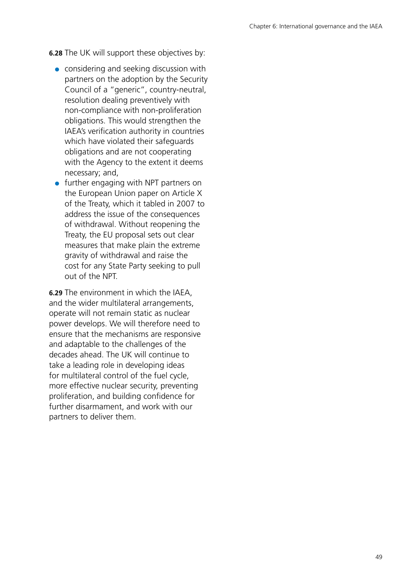**6.28** The UK will support these objectives by:

- considering and seeking discussion with partners on the adoption by the Security Council of a "generic", country-neutral, resolution dealing preventively with non-compliance with non-proliferation obligations. This would strengthen the IAEA's verification authority in countries which have violated their safeguards obligations and are not cooperating with the Agency to the extent it deems necessary; and,
- further engaging with NPT partners on the European Union paper on Article X of the Treaty, which it tabled in 2007 to address the issue of the consequences of withdrawal. Without reopening the Treaty, the EU proposal sets out clear measures that make plain the extreme gravity of withdrawal and raise the cost for any State Party seeking to pull out of the NPT.

**6.29** The environment in which the IAEA, and the wider multilateral arrangements, operate will not remain static as nuclear power develops. We will therefore need to ensure that the mechanisms are responsive and adaptable to the challenges of the decades ahead. The UK will continue to take a leading role in developing ideas for multilateral control of the fuel cycle, more effective nuclear security, preventing proliferation, and building confidence for further disarmament, and work with our partners to deliver them.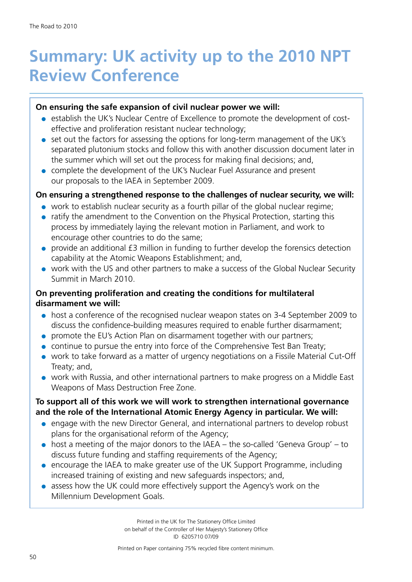# <span id="page-50-0"></span>**Summary: UK activity up to the 2010 NPT Review Conference**

#### **On ensuring the safe expansion of civil nuclear power we will:**

- establish the UK's Nuclear Centre of Excellence to promote the development of costeffective and proliferation resistant nuclear technology;
- set out the factors for assessing the options for long-term management of the UK's separated plutonium stocks and follow this with another discussion document later in the summer which will set out the process for making final decisions; and,
- complete the development of the UK's Nuclear Fuel Assurance and present our proposals to the IAEA in September 2009.

#### **On ensuring a strengthened response to the challenges of nuclear security, we will:**

- work to establish nuclear security as a fourth pillar of the global nuclear regime;
- ratify the amendment to the Convention on the Physical Protection, starting this process by immediately laying the relevant motion in Parliament, and work to encourage other countries to do the same;
- provide an additional £3 million in funding to further develop the forensics detection capability at the Atomic Weapons Establishment; and,
- work with the US and other partners to make a success of the Global Nuclear Security Summit in March 2010.

#### **On preventing proliferation and creating the conditions for multilateral disarmament we will:**

- host a conference of the recognised nuclear weapon states on 3-4 September 2009 to discuss the confidence-building measures required to enable further disarmament;
- promote the EU's Action Plan on disarmament together with our partners;
- continue to pursue the entry into force of the Comprehensive Test Ban Treaty;
- work to take forward as a matter of urgency negotiations on a Fissile Material Cut-Off Treaty; and,
- work with Russia, and other international partners to make progress on a Middle East Weapons of Mass Destruction Free Zone.

#### **To support all of this work we will work to strengthen international governance and the role of the International Atomic Energy Agency in particular. We will:**

- engage with the new Director General, and international partners to develop robust plans for the organisational reform of the Agency;
- $\bullet$  host a meeting of the major donors to the IAEA the so-called 'Geneva Group' to discuss future funding and staffing requirements of the Agency;
- encourage the IAEA to make greater use of the UK Support Programme, including increased training of existing and new safeguards inspectors; and,
- assess how the UK could more effectively support the Agency's work on the Millennium Development Goals.